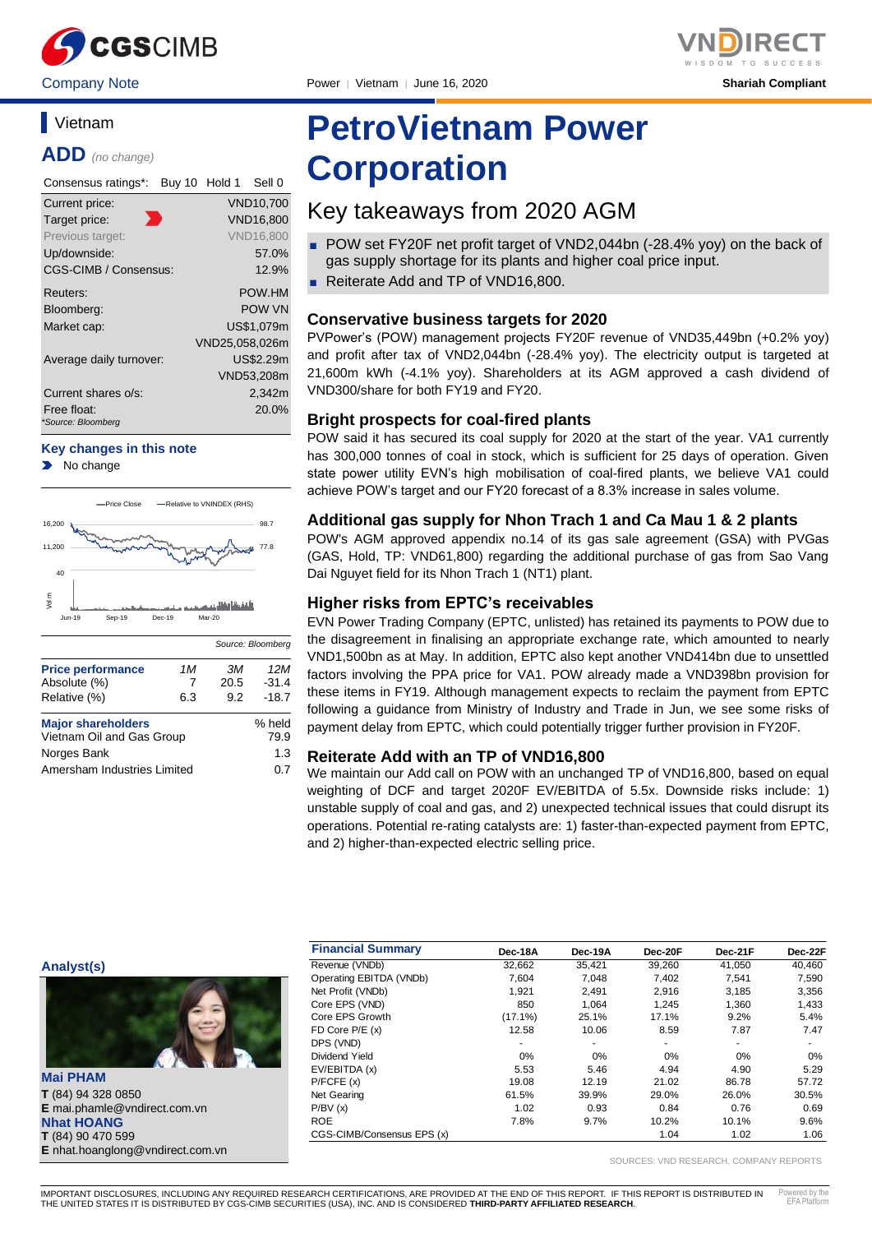

## **Vietnam**

**ADD** *(no change)*

| Consensus ratings*:               | Buy 10 Hold 1 |                | Sell 0           |
|-----------------------------------|---------------|----------------|------------------|
| Current price:                    |               |                | VND10,700        |
| Target price:                     |               |                | <b>VND16.800</b> |
| Previous target:                  |               |                | <b>VND16.800</b> |
| Up/downside:                      |               |                | 57.0%            |
| CGS-CIMB / Consensus:             |               |                | 12.9%            |
| Reuters:                          |               |                | POW HM           |
| Bloomberg:                        |               |                | POW VN           |
| Market cap:                       |               |                | US\$1,079m       |
|                                   |               | VND25,058,026m |                  |
| Average daily turnover:           |               |                | US\$2.29m        |
|                                   |               |                | VND53,208m       |
| Current shares o/s:               |               |                | 2.342m           |
| Free float:<br>*Source: Bloomberg |               |                | 20.0%            |

#### **Key changes in this note**

No change



|                             |     | Source: Bloomberg |         |
|-----------------------------|-----|-------------------|---------|
| <b>Price performance</b>    | 1M  | ЗМ                | 12M     |
| Absolute (%)                | 7   | 20.5              | $-31.4$ |
| Relative (%)                | 6.3 | 9.2               | $-18.7$ |
| <b>Major shareholders</b>   |     |                   | % held  |
| Vietnam Oil and Gas Group   |     |                   | 79.9    |
| Norges Bank                 |     |                   | 1.3     |
| Amersham Industries Limited |     |                   | 0.7     |

# **PetroVietnam Power**

## **Corporation**

## Key takeaways from 2020 AGM

- POW set FY20F net profit target of VND2,044bn (-28.4% yoy) on the back of gas supply shortage for its plants and higher coal price input.
- Reiterate Add and TP of VND16,800.

## **Conservative business targets for 2020**

PVPower's (POW) management projects FY20F revenue of VND35,449bn (+0.2% yoy) and profit after tax of VND2,044bn (-28.4% yoy). The electricity output is targeted at 21,600m kWh (-4.1% yoy). Shareholders at its AGM approved a cash dividend of VND300/share for both FY19 and FY20.

## **Bright prospects for coal-fired plants**

POW said it has secured its coal supply for 2020 at the start of the year. VA1 currently has 300,000 tonnes of coal in stock, which is sufficient for 25 days of operation. Given state power utility EVN's high mobilisation of coal-fired plants, we believe VA1 could achieve POW's target and our FY20 forecast of a 8.3% increase in sales volume.

### **Additional gas supply for Nhon Trach 1 and Ca Mau 1 & 2 plants**

POW's AGM approved appendix no.14 of its gas sale agreement (GSA) with PVGas (GAS, Hold, TP: VND61,800) regarding the additional purchase of gas from Sao Vang Dai Nguyet field for its Nhon Trach 1 (NT1) plant.

## **Higher risks from EPTC's receivables**

EVN Power Trading Company (EPTC, unlisted) has retained its payments to POW due to the disagreement in finalising an appropriate exchange rate, which amounted to nearly VND1,500bn as at May. In addition, EPTC also kept another VND414bn due to unsettled factors involving the PPA price for VA1. POW already made a VND398bn provision for these items in FY19. Although management expects to reclaim the payment from EPTC following a guidance from Ministry of Industry and Trade in Jun, we see some risks of payment delay from EPTC, which could potentially trigger further provision in FY20F.

### **Reiterate Add with an TP of VND16,800**

We maintain our Add call on POW with an unchanged TP of VND16,800, based on equal weighting of DCF and target 2020F EV/EBITDA of 5.5x. Downside risks include: 1) unstable supply of coal and gas, and 2) unexpected technical issues that could disrupt its operations. Potential re-rating catalysts are: 1) faster-than-expected payment from EPTC, and 2) higher-than-expected electric selling price.

#### **Analyst(s)**



**Mai PHAM T** (84) 94 328 0850 **E** mai.phamle@vndirect.com.vn **Nhat HOANG T** (84) 90 470 599 **E** nhat.hoanglong@vndirect.com.vn

| <b>Financial Summary</b>   | Dec-18A    | Dec-19A | Dec-20F                  | Dec-21F | Dec-22F |
|----------------------------|------------|---------|--------------------------|---------|---------|
| Revenue (VNDb)             | 32.662     | 35.421  | 39,260                   | 41.050  | 40.460  |
| Operating EBITDA (VNDb)    | 7.604      | 7.048   | 7.402                    | 7.541   | 7,590   |
| Net Profit (VNDb)          | 1.921      | 2.491   | 2.916                    | 3,185   | 3,356   |
| Core EPS (VND)             | 850        | 1.064   | 1.245                    | 1.360   | 1,433   |
| Core EPS Growth            | $(17.1\%)$ | 25.1%   | 17.1%                    | 9.2%    | 5.4%    |
| FD Core $P/E(x)$           | 12.58      | 10.06   | 8.59                     | 7.87    | 7.47    |
| DPS (VND)                  | ۰          | ۰       | $\overline{\phantom{a}}$ | ۰       | ۰       |
| Dividend Yield             | 0%         | 0%      | 0%                       | 0%      | 0%      |
| EV/EBITDA (x)              | 5.53       | 5.46    | 4.94                     | 4.90    | 5.29    |
| P/FCFE(x)                  | 19.08      | 12.19   | 21.02                    | 86.78   | 57.72   |
| Net Gearing                | 61.5%      | 39.9%   | 29.0%                    | 26.0%   | 30.5%   |
| P/BV(x)                    | 1.02       | 0.93    | 0.84                     | 0.76    | 0.69    |
| <b>ROE</b>                 | 7.8%       | 9.7%    | 10.2%                    | 10.1%   | 9.6%    |
| CGS-CIMB/Consensus EPS (x) |            |         | 1.04                     | 1.02    | 1.06    |

SOURCES: VND RESEARCH, COMPANY REPORTS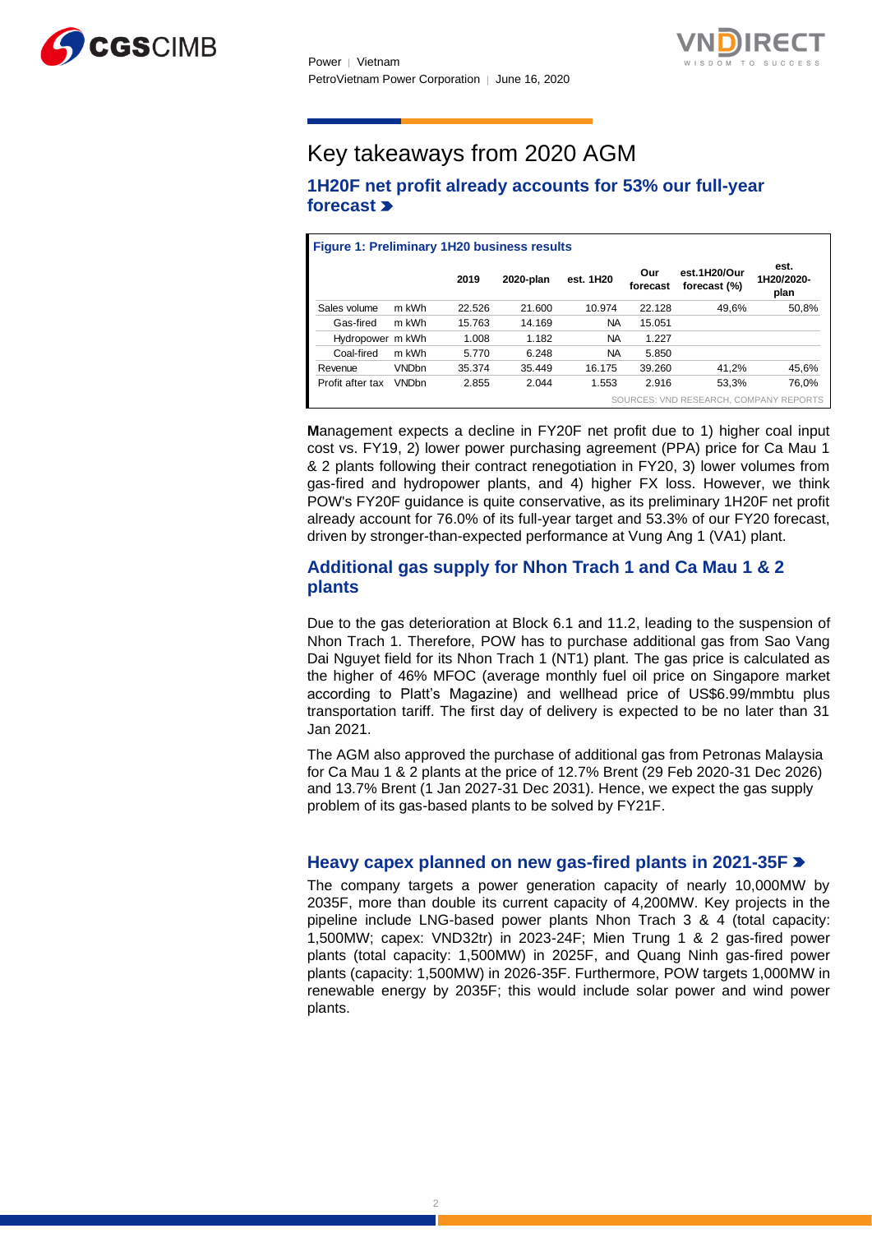



## Key takeaways from 2020 AGM

## **1H20F net profit already accounts for 53% our full-year forecast**

| <b>Figure 1: Preliminary 1H20 business results</b> |              |        |           |           |                 |                                        |                            |
|----------------------------------------------------|--------------|--------|-----------|-----------|-----------------|----------------------------------------|----------------------------|
|                                                    |              | 2019   | 2020-plan | est. 1H20 | Our<br>forecast | est.1H20/Our<br>forecast (%)           | est.<br>1H20/2020-<br>plan |
| Sales volume                                       | m kWh        | 22.526 | 21.600    | 10.974    | 22.128          | 49,6%                                  | 50,8%                      |
| Gas-fired                                          | m kWh        | 15.763 | 14.169    | <b>NA</b> | 15.051          |                                        |                            |
| Hydropower m kWh                                   |              | 1.008  | 1.182     | <b>NA</b> | 1.227           |                                        |                            |
| Coal-fired                                         | m kWh        | 5.770  | 6.248     | <b>NA</b> | 5.850           |                                        |                            |
| Revenue                                            | <b>VNDbn</b> | 35.374 | 35.449    | 16.175    | 39.260          | 41.2%                                  | 45,6%                      |
| Profit after tax                                   | <b>VNDbn</b> | 2.855  | 2.044     | 1.553     | 2.916           | 53.3%                                  | 76.0%                      |
|                                                    |              |        |           |           |                 | SOURCES: VND RESEARCH, COMPANY REPORTS |                            |

**M**anagement expects a decline in FY20F net profit due to 1) higher coal input cost vs. FY19, 2) lower power purchasing agreement (PPA) price for Ca Mau 1 & 2 plants following their contract renegotiation in FY20, 3) lower volumes from gas-fired and hydropower plants, and 4) higher FX loss. However, we think POW's FY20F guidance is quite conservative, as its preliminary 1H20F net profit already account for 76.0% of its full-year target and 53.3% of our FY20 forecast, driven by stronger-than-expected performance at Vung Ang 1 (VA1) plant.

## **Additional gas supply for Nhon Trach 1 and Ca Mau 1 & 2 plants**

Due to the gas deterioration at Block 6.1 and 11.2, leading to the suspension of Nhon Trach 1. Therefore, POW has to purchase additional gas from Sao Vang Dai Nguyet field for its Nhon Trach 1 (NT1) plant. The gas price is calculated as the higher of 46% MFOC (average monthly fuel oil price on Singapore market according to Platt's Magazine) and wellhead price of US\$6.99/mmbtu plus transportation tariff. The first day of delivery is expected to be no later than 31 Jan 2021.

The AGM also approved the purchase of additional gas from Petronas Malaysia for Ca Mau 1 & 2 plants at the price of 12.7% Brent (29 Feb 2020-31 Dec 2026) and 13.7% Brent (1 Jan 2027-31 Dec 2031). Hence, we expect the gas supply problem of its gas-based plants to be solved by FY21F.

## **Heavy capex planned on new gas-fired plants in 2021-35F**

The company targets a power generation capacity of nearly 10,000MW by 2035F, more than double its current capacity of 4,200MW. Key projects in the pipeline include LNG-based power plants Nhon Trach 3 & 4 (total capacity: 1,500MW; capex: VND32tr) in 2023-24F; Mien Trung 1 & 2 gas-fired power plants (total capacity: 1,500MW) in 2025F, and Quang Ninh gas-fired power plants (capacity: 1,500MW) in 2026-35F. Furthermore, POW targets 1,000MW in renewable energy by 2035F; this would include solar power and wind power plants.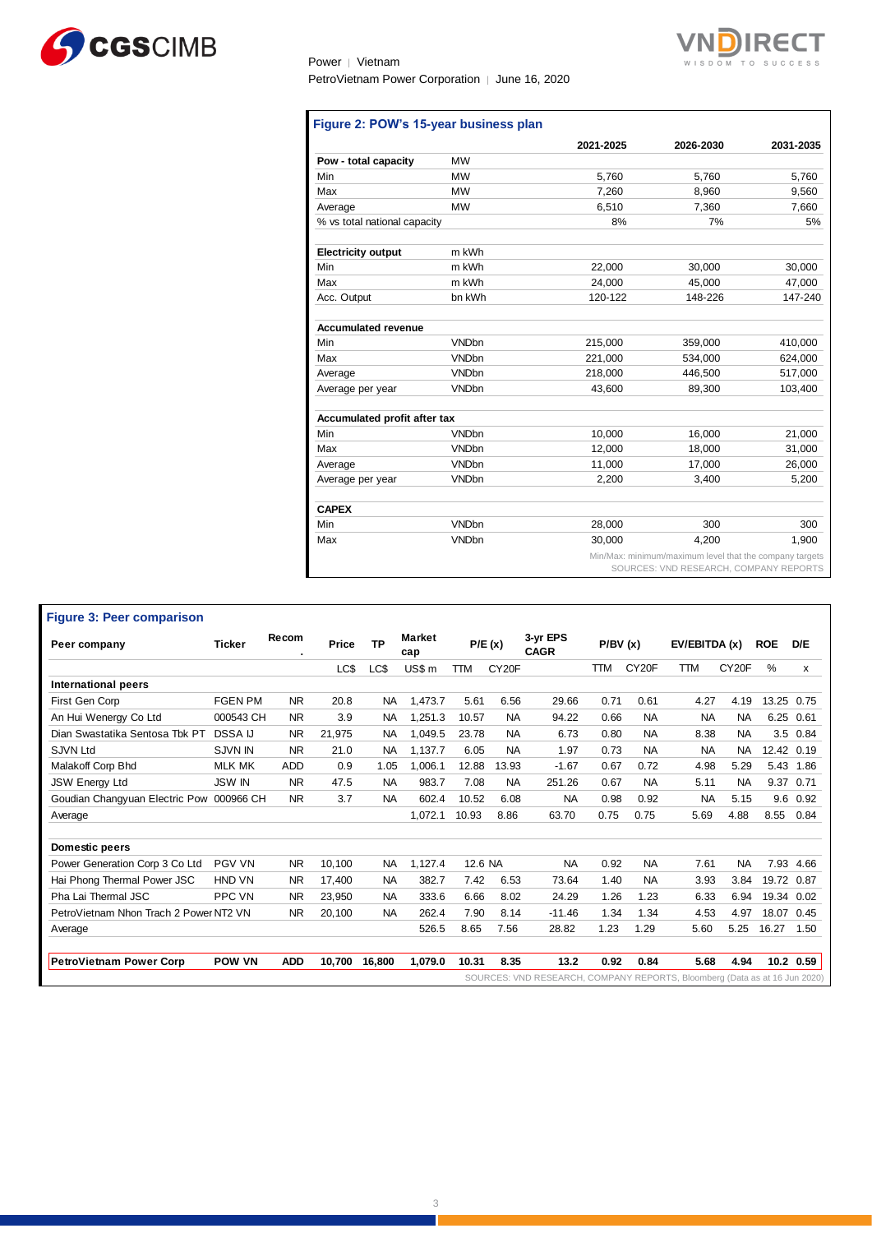

Power │ Vietnam PetroVietnam Power Corporation | June 16, 2020



|                              |              | 2021-2025 | 2026-2030 | 2031-2035 |
|------------------------------|--------------|-----------|-----------|-----------|
| Pow - total capacity         | <b>MW</b>    |           |           |           |
| Min                          | <b>MW</b>    | 5,760     | 5,760     | 5,760     |
| Max                          | <b>MW</b>    | 7,260     | 8,960     | 9,560     |
| Average                      | <b>MW</b>    | 6,510     | 7.360     | 7,660     |
| % vs total national capacity |              | 8%        | 7%        | 5%        |
| <b>Electricity output</b>    | m kWh        |           |           |           |
| Min                          | m kWh        | 22,000    | 30,000    | 30,000    |
| Max                          | m kWh        | 24,000    | 45,000    | 47,000    |
| Acc. Output                  | bn kWh       | 120-122   | 148-226   | 147-240   |
| <b>Accumulated revenue</b>   |              |           |           |           |
| Min                          | <b>VNDbn</b> | 215,000   | 359,000   | 410,000   |
| Max                          | <b>VNDbn</b> | 221,000   | 534.000   | 624,000   |
| Average                      | <b>VNDbn</b> | 218.000   | 446,500   | 517,000   |
| Average per year             | <b>VNDbn</b> | 43,600    | 89,300    | 103,400   |
| Accumulated profit after tax |              |           |           |           |
| Min                          | <b>VNDbn</b> | 10.000    | 16,000    | 21,000    |
| Max                          | <b>VNDbn</b> | 12.000    | 18.000    | 31,000    |
| Average                      | <b>VNDbn</b> | 11,000    | 17,000    | 26,000    |
| Average per year             | <b>VNDbn</b> | 2,200     | 3,400     | 5,200     |
| <b>CAPEX</b>                 |              |           |           |           |
| Min                          | <b>VNDbn</b> | 28,000    | 300       | 300       |
| Max                          | <b>VNDbn</b> | 30.000    | 4,200     | 1.900     |

#### SOURCES: VND RESEARCH, COMPANY REPORTS

## **Figure 3: Peer comparison**

| Peer company                             | Ticker         | Recom<br>٠ | Price  | <b>TP</b> | <b>Market</b><br>cap |            | P/E(x)             | 3-yr EPS<br><b>CAGR</b>                                                    | P/BV(x)    |                    | EV/EBITDA (x) |                    | <b>ROE</b>    | D/E        |
|------------------------------------------|----------------|------------|--------|-----------|----------------------|------------|--------------------|----------------------------------------------------------------------------|------------|--------------------|---------------|--------------------|---------------|------------|
|                                          |                |            | LC\$   | LC\$      | US\$ m               | <b>TTM</b> | CY <sub>20</sub> F |                                                                            | <b>TTM</b> | CY <sub>20</sub> F | <b>TTM</b>    | CY <sub>20</sub> F | $\frac{0}{0}$ | x          |
| International peers                      |                |            |        |           |                      |            |                    |                                                                            |            |                    |               |                    |               |            |
| First Gen Corp                           | <b>FGEN PM</b> | <b>NR</b>  | 20.8   | <b>NA</b> | 1,473.7              | 5.61       | 6.56               | 29.66                                                                      | 0.71       | 0.61               | 4.27          | 4.19               |               | 13.25 0.75 |
| An Hui Wenergy Co Ltd                    | 000543 CH      | <b>NR</b>  | 3.9    | <b>NA</b> | 1,251.3              | 10.57      | <b>NA</b>          | 94.22                                                                      | 0.66       | <b>NA</b>          | <b>NA</b>     | <b>NA</b>          | 6.25          | 0.61       |
| Dian Swastatika Sentosa Tbk PT           | <b>DSSA IJ</b> | <b>NR</b>  | 21,975 | <b>NA</b> | 1.049.5              | 23.78      | <b>NA</b>          | 6.73                                                                       | 0.80       | <b>NA</b>          | 8.38          | <b>NA</b>          |               | 3.5 0.84   |
| <b>SJVN Ltd</b>                          | <b>SJVN IN</b> | <b>NR</b>  | 21.0   | <b>NA</b> | 1,137.7              | 6.05       | <b>NA</b>          | 1.97                                                                       | 0.73       | <b>NA</b>          | <b>NA</b>     | NA.                |               | 12.42 0.19 |
| Malakoff Corp Bhd                        | <b>MLK MK</b>  | <b>ADD</b> | 0.9    | 1.05      | 1,006.1              | 12.88      | 13.93              | $-1.67$                                                                    | 0.67       | 0.72               | 4.98          | 5.29               |               | 5.43 1.86  |
| <b>JSW Energy Ltd</b>                    | <b>JSW IN</b>  | <b>NR</b>  | 47.5   | <b>NA</b> | 983.7                | 7.08       | <b>NA</b>          | 251.26                                                                     | 0.67       | <b>NA</b>          | 5.11          | <b>NA</b>          | 9.37          | 0.71       |
| Goudian Changyuan Electric Pow 000966 CH |                | <b>NR</b>  | 3.7    | <b>NA</b> | 602.4                | 10.52      | 6.08               | <b>NA</b>                                                                  | 0.98       | 0.92               | <b>NA</b>     | 5.15               | 9.6           | 0.92       |
| Average                                  |                |            |        |           | 1,072.1              | 10.93      | 8.86               | 63.70                                                                      | 0.75       | 0.75               | 5.69          | 4.88               | 8.55          | 0.84       |
| <b>Domestic peers</b>                    |                |            |        |           |                      |            |                    |                                                                            |            |                    |               |                    |               |            |
| Power Generation Corp 3 Co Ltd           | <b>PGV VN</b>  | <b>NR</b>  | 10,100 | <b>NA</b> | 1,127.4              | 12.6 NA    |                    | <b>NA</b>                                                                  | 0.92       | <b>NA</b>          | 7.61          | <b>NA</b>          |               | 7.93 4.66  |
| Hai Phong Thermal Power JSC              | <b>HND VN</b>  | <b>NR</b>  | 17.400 | <b>NA</b> | 382.7                | 7.42       | 6.53               | 73.64                                                                      | 1.40       | <b>NA</b>          | 3.93          | 3.84               |               | 19.72 0.87 |
| Pha Lai Thermal JSC                      | <b>PPC VN</b>  | <b>NR</b>  | 23.950 | <b>NA</b> | 333.6                | 6.66       | 8.02               | 24.29                                                                      | 1.26       | 1.23               | 6.33          | 6.94               | 19.34         | 0.02       |
| PetroVietnam Nhon Trach 2 Power NT2 VN   |                | <b>NR</b>  | 20,100 | <b>NA</b> | 262.4                | 7.90       | 8.14               | $-11.46$                                                                   | 1.34       | 1.34               | 4.53          | 4.97               | 18.07         | 0.45       |
| Average                                  |                |            |        |           | 526.5                | 8.65       | 7.56               | 28.82                                                                      | 1.23       | 1.29               | 5.60          | 5.25               | 16.27         | 1.50       |
| <b>PetroVietnam Power Corp</b>           | <b>POW VN</b>  | <b>ADD</b> | 10,700 | 16,800    | 1,079.0              | 10.31      | 8.35               | 13.2                                                                       | 0.92       | 0.84               | 5.68          | 4.94               |               | 10.2 0.59  |
|                                          |                |            |        |           |                      |            |                    | SOURCES: VND RESEARCH, COMPANY REPORTS, Bloomberg (Data as at 16 Jun 2020) |            |                    |               |                    |               |            |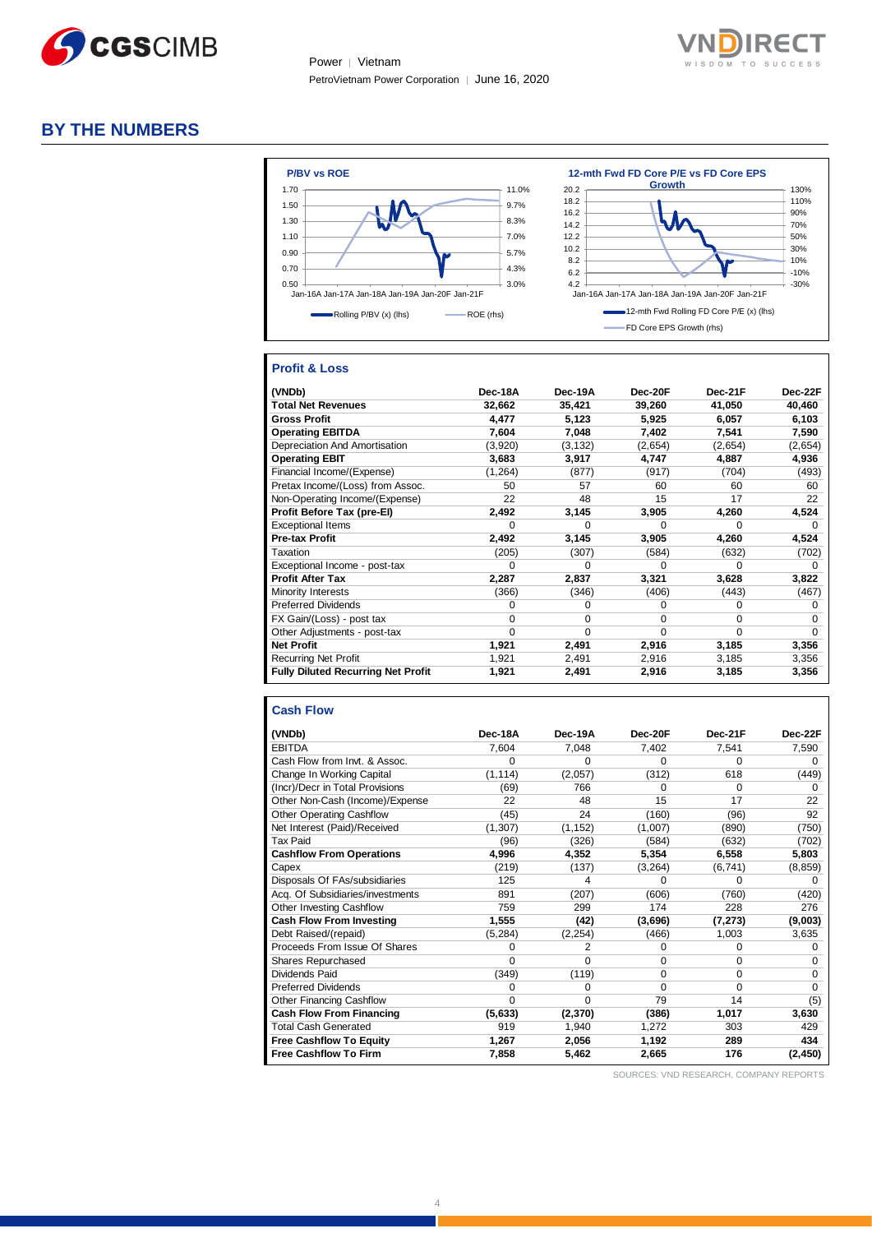

Power │ Vietnam PetroVietnam Power Corporation │ June 16, 2020



## **BY THE NUMBERS**



#### **Profit & Loss**

| (VNDb)                                    | Dec-18A  | Dec-19A  | Dec-20F | Dec-21F | Dec-22F  |
|-------------------------------------------|----------|----------|---------|---------|----------|
| <b>Total Net Revenues</b>                 | 32,662   | 35,421   | 39,260  | 41,050  | 40,460   |
| <b>Gross Profit</b>                       | 4.477    | 5,123    | 5,925   | 6,057   | 6,103    |
| <b>Operating EBITDA</b>                   | 7,604    | 7,048    | 7,402   | 7,541   | 7,590    |
| Depreciation And Amortisation             | (3,920)  | (3, 132) | (2,654) | (2,654) | (2,654)  |
| <b>Operating EBIT</b>                     | 3,683    | 3,917    | 4,747   | 4,887   | 4,936    |
| Financial Income/(Expense)                | (1, 264) | (877)    | (917)   | (704)   | (493)    |
| Pretax Income/(Loss) from Assoc.          | 50       | 57       | 60      | 60      | 60       |
| Non-Operating Income/(Expense)            | 22       | 48       | 15      | 17      | 22       |
| Profit Before Tax (pre-El)                | 2,492    | 3,145    | 3,905   | 4,260   | 4,524    |
| <b>Exceptional Items</b>                  | U        | U        | U       | O       | 0        |
| <b>Pre-tax Profit</b>                     | 2,492    | 3,145    | 3,905   | 4,260   | 4,524    |
| Taxation                                  | (205)    | (307)    | (584)   | (632)   | (702)    |
| Exceptional Income - post-tax             | 0        | U        | U       | O       | 0        |
| <b>Profit After Tax</b>                   | 2,287    | 2,837    | 3,321   | 3,628   | 3,822    |
| Minority Interests                        | (366)    | (346)    | (406)   | (443)   | (467)    |
| <b>Preferred Dividends</b>                | O        | 0        | 0       | 0       | O        |
| FX Gain/(Loss) - post tax                 | 0        | $\Omega$ | U       | 0       | 0        |
| Other Adjustments - post-tax              | 0        | 0        | 0       | 0       | $\Omega$ |
| <b>Net Profit</b>                         | 1,921    | 2,491    | 2,916   | 3,185   | 3,356    |
| <b>Recurring Net Profit</b>               | 1,921    | 2,491    | 2,916   | 3,185   | 3,356    |
| <b>Fully Diluted Recurring Net Profit</b> | 1,921    | 2,491    | 2,916   | 3,185   | 3,356    |

#### **Cash Flow**

| (VNDb)                           | Dec-18A  | Dec-19A  | Dec-20F  | Dec-21F  | Dec-22F  |
|----------------------------------|----------|----------|----------|----------|----------|
|                                  |          |          |          |          |          |
| <b>EBITDA</b>                    | 7,604    | 7,048    | 7,402    | 7,541    | 7,590    |
| Cash Flow from Invt. & Assoc.    | 0        | 0        | 0        | 0        | $\Omega$ |
| Change In Working Capital        | (1, 114) | (2,057)  | (312)    | 618      | (449)    |
| (Incr)/Decr in Total Provisions  | (69)     | 766      | 0        | 0        | $\Omega$ |
| Other Non-Cash (Income)/Expense  | 22       | 48       | 15       | 17       | 22       |
| Other Operating Cashflow         | (45)     | 24       | (160)    | (96)     | 92       |
| Net Interest (Paid)/Received     | (1, 307) | (1, 152) | (1,007)  | (890)    | (750)    |
| <b>Tax Paid</b>                  | (96)     | (326)    | (584)    | (632)    | (702)    |
| <b>Cashflow From Operations</b>  | 4,996    | 4,352    | 5,354    | 6,558    | 5,803    |
| Capex                            | (219)    | (137)    | (3,264)  | (6, 741) | (8, 859) |
| Disposals Of FAs/subsidiaries    | 125      | 4        | O        | O        | 0        |
| Acq. Of Subsidiaries/investments | 891      | (207)    | (606)    | (760)    | (420)    |
| Other Investing Cashflow         | 759      | 299      | 174      | 228      | 276      |
| <b>Cash Flow From Investing</b>  | 1,555    | (42)     | (3,696)  | (7, 273) | (9,003)  |
| Debt Raised/(repaid)             | (5, 284) | (2, 254) | (466)    | 1,003    | 3,635    |
| Proceeds From Issue Of Shares    | O        | 2        | 0        | 0        | $\Omega$ |
| Shares Repurchased               | 0        | 0        | 0        | 0        | $\Omega$ |
| Dividends Paid                   | (349)    | (119)    | $\Omega$ | $\Omega$ | $\Omega$ |
| <b>Preferred Dividends</b>       | 0        | 0        | $\Omega$ | $\Omega$ | $\Omega$ |
| <b>Other Financing Cashflow</b>  | $\Omega$ | 0        | 79       | 14       | (5)      |
| <b>Cash Flow From Financing</b>  | (5,633)  | (2,370)  | (386)    | 1,017    | 3,630    |
| <b>Total Cash Generated</b>      | 919      | 1,940    | 1,272    | 303      | 429      |
| <b>Free Cashflow To Equity</b>   | 1,267    | 2,056    | 1,192    | 289      | 434      |
| <b>Free Cashflow To Firm</b>     | 7,858    | 5,462    | 2,665    | 176      | (2, 450) |

SOURCES: VND RESEARCH, COMPANY REPORTS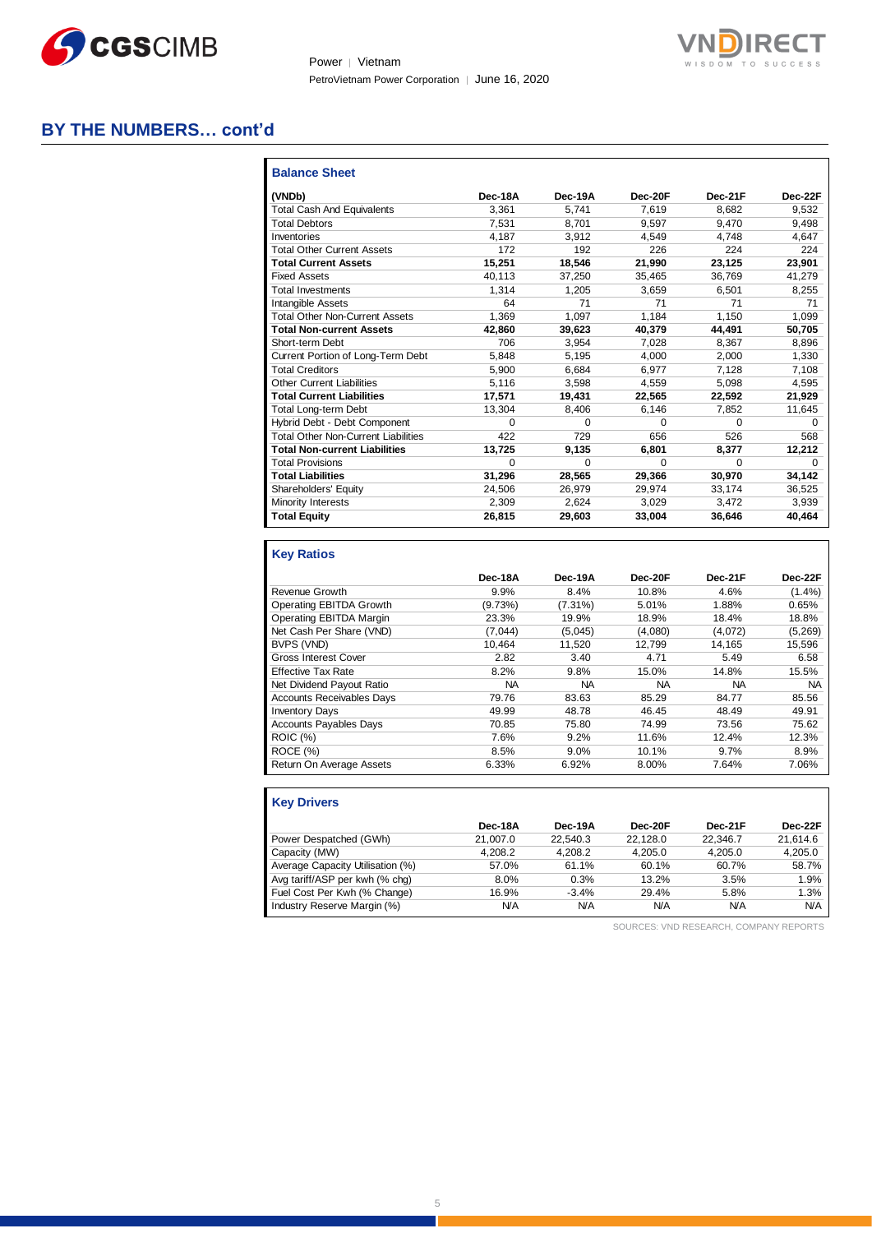

Power | Vietnam PetroVietnam Power Corporation │ June 16, 2020



## **BY THE NUMBERS… cont'd**

| <b>Balance Sheet</b>                       |         |         |         |          |         |
|--------------------------------------------|---------|---------|---------|----------|---------|
| (VNDb)                                     | Dec-18A | Dec-19A | Dec-20F | Dec-21F  | Dec-22F |
| <b>Total Cash And Equivalents</b>          | 3.361   | 5.741   | 7.619   | 8.682    | 9,532   |
| <b>Total Debtors</b>                       | 7.531   | 8.701   | 9.597   | 9.470    | 9,498   |
| Inventories                                | 4.187   | 3.912   | 4.549   | 4.748    | 4.647   |
| <b>Total Other Current Assets</b>          | 172     | 192     | 226     | 224      | 224     |
| <b>Total Current Assets</b>                | 15,251  | 18,546  | 21,990  | 23,125   | 23,901  |
| <b>Fixed Assets</b>                        | 40,113  | 37,250  | 35,465  | 36,769   | 41,279  |
| <b>Total Investments</b>                   | 1.314   | 1.205   | 3.659   | 6.501    | 8.255   |
| <b>Intangible Assets</b>                   | 64      | 71      | 71      | 71       | 71      |
| <b>Total Other Non-Current Assets</b>      | 1.369   | 1,097   | 1.184   | 1.150    | 1.099   |
| <b>Total Non-current Assets</b>            | 42.860  | 39,623  | 40.379  | 44.491   | 50.705  |
| Short-term Debt                            | 706     | 3,954   | 7,028   | 8,367    | 8,896   |
| Current Portion of Long-Term Debt          | 5.848   | 5.195   | 4.000   | 2.000    | 1.330   |
| <b>Total Creditors</b>                     | 5,900   | 6,684   | 6,977   | 7,128    | 7,108   |
| <b>Other Current Liabilities</b>           | 5,116   | 3,598   | 4,559   | 5,098    | 4,595   |
| <b>Total Current Liabilities</b>           | 17,571  | 19,431  | 22.565  | 22.592   | 21,929  |
| <b>Total Long-term Debt</b>                | 13.304  | 8.406   | 6.146   | 7.852    | 11,645  |
| Hybrid Debt - Debt Component               | 0       | 0       | 0       | $\Omega$ | 0       |
| <b>Total Other Non-Current Liabilities</b> | 422     | 729     | 656     | 526      | 568     |
| <b>Total Non-current Liabilities</b>       | 13,725  | 9.135   | 6.801   | 8.377    | 12,212  |
| <b>Total Provisions</b>                    | 0       | 0       | 0       | $\Omega$ | 0       |
| <b>Total Liabilities</b>                   | 31,296  | 28,565  | 29,366  | 30,970   | 34,142  |
| Shareholders' Equity                       | 24,506  | 26,979  | 29,974  | 33,174   | 36,525  |
| Minority Interests                         | 2.309   | 2.624   | 3,029   | 3.472    | 3,939   |
| <b>Total Equity</b>                        | 26,815  | 29,603  | 33,004  | 36,646   | 40,464  |

## **Key Ratios**

|                                  | Dec-18A   | Dec-19A    | Dec-20F   | Dec-21F | Dec-22F   |
|----------------------------------|-----------|------------|-----------|---------|-----------|
| Revenue Growth                   | 9.9%      | 8.4%       | 10.8%     | 4.6%    | $(1.4\%)$ |
| Operating EBITDA Growth          | (9.73%)   | $(7.31\%)$ | 5.01%     | 1.88%   | 0.65%     |
| Operating EBITDA Margin          | 23.3%     | 19.9%      | 18.9%     | 18.4%   | 18.8%     |
| Net Cash Per Share (VND)         | (7,044)   | (5,045)    | (4,080)   | (4,072) | (5,269)   |
| BVPS (VND)                       | 10.464    | 11,520     | 12.799    | 14,165  | 15,596    |
| <b>Gross Interest Cover</b>      | 2.82      | 3.40       | 4.71      | 5.49    | 6.58      |
| <b>Effective Tax Rate</b>        | 8.2%      | 9.8%       | 15.0%     | 14.8%   | 15.5%     |
| Net Dividend Payout Ratio        | <b>NA</b> | <b>NA</b>  | <b>NA</b> | NA.     | NA.       |
| <b>Accounts Receivables Days</b> | 79.76     | 83.63      | 85.29     | 84.77   | 85.56     |
| <b>Inventory Days</b>            | 49.99     | 48.78      | 46.45     | 48.49   | 49.91     |
| <b>Accounts Payables Days</b>    | 70.85     | 75.80      | 74.99     | 73.56   | 75.62     |
| <b>ROIC (%)</b>                  | 7.6%      | 9.2%       | 11.6%     | 12.4%   | 12.3%     |
| ROCE (%)                         | 8.5%      | $9.0\%$    | 10.1%     | 9.7%    | 8.9%      |
| Return On Average Assets         | 6.33%     | 6.92%      | 8.00%     | 7.64%   | 7.06%     |

| <b>Key Drivers</b>               |            |          |          |            |            |
|----------------------------------|------------|----------|----------|------------|------------|
|                                  | Dec-18A    | Dec-19A  | Dec-20F  | Dec-21F    | Dec-22F    |
| Power Despatched (GWh)           | 21.007.0   | 22.540.3 | 22.128.0 | 22.346.7   | 21.614.6   |
| Capacity (MW)                    | 4.208.2    | 4.208.2  | 4.205.0  | 4.205.0    | 4.205.0    |
| Average Capacity Utilisation (%) | 57.0%      | 61.1%    | 60.1%    | 60.7%      | 58.7%      |
| Avg tariff/ASP per kwh (% chq)   | 8.0%       | 0.3%     | 13.2%    | 3.5%       | 1.9%       |
| Fuel Cost Per Kwh (% Change)     | 16.9%      | $-3.4%$  | 29.4%    | 5.8%       | 1.3%       |
| Industry Reserve Margin (%)      | <b>N/A</b> | N/A      | N/A      | <b>N/A</b> | <b>N/A</b> |

SOURCES: VND RESEARCH, COMPANY REPORTS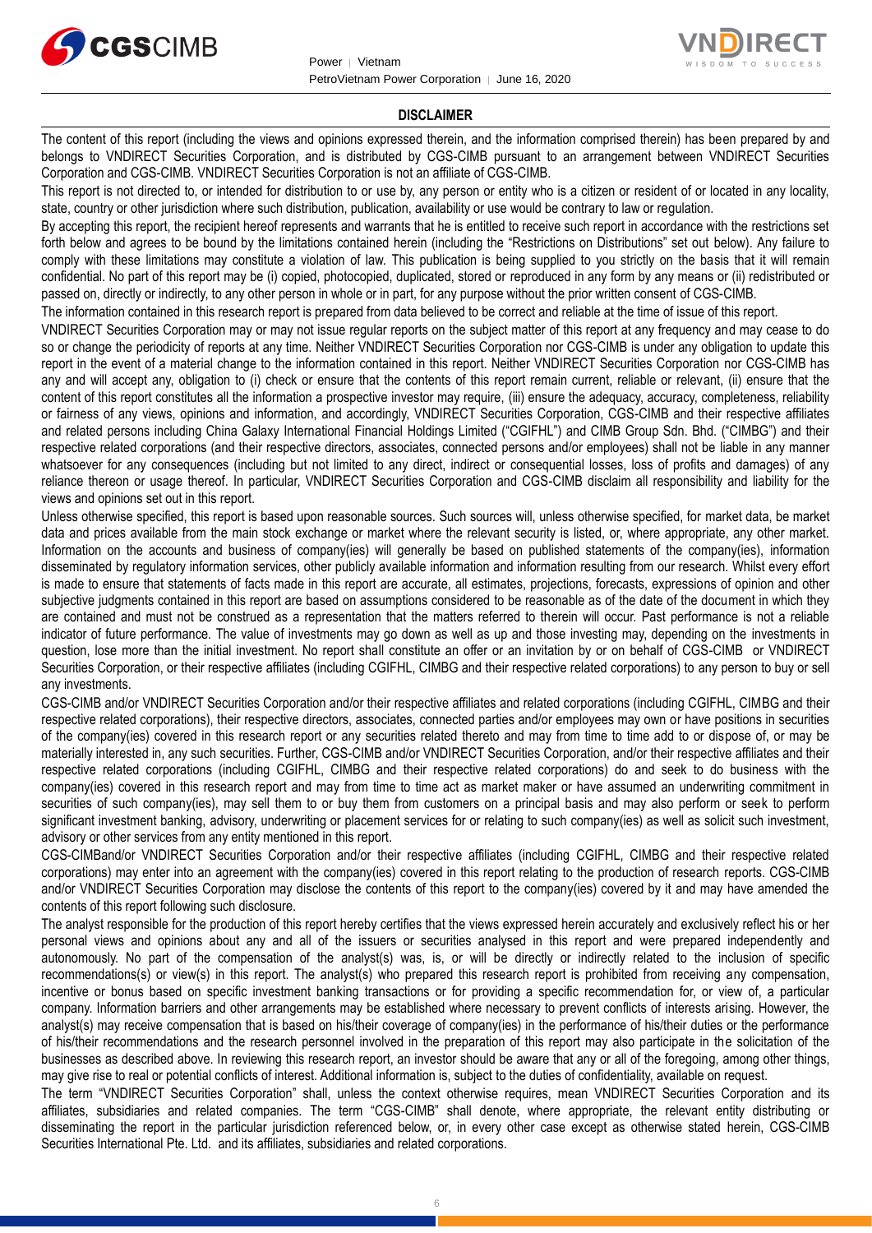



#### **DISCLAIMER**

The content of this report (including the views and opinions expressed therein, and the information comprised therein) has been prepared by and belongs to VNDIRECT Securities Corporation, and is distributed by CGS-CIMB pursuant to an arrangement between VNDIRECT Securities Corporation and CGS-CIMB. VNDIRECT Securities Corporation is not an affiliate of CGS-CIMB.

This report is not directed to, or intended for distribution to or use by, any person or entity who is a citizen or resident of or located in any locality, state, country or other jurisdiction where such distribution, publication, availability or use would be contrary to law or regulation.

By accepting this report, the recipient hereof represents and warrants that he is entitled to receive such report in accordance with the restrictions set forth below and agrees to be bound by the limitations contained herein (including the "Restrictions on Distributions" set out below). Any failure to comply with these limitations may constitute a violation of law. This publication is being supplied to you strictly on the basis that it will remain confidential. No part of this report may be (i) copied, photocopied, duplicated, stored or reproduced in any form by any means or (ii) redistributed or passed on, directly or indirectly, to any other person in whole or in part, for any purpose without the prior written consent of CGS-CIMB.

The information contained in this research report is prepared from data believed to be correct and reliable at the time of issue of this report.

VNDIRECT Securities Corporation may or may not issue regular reports on the subject matter of this report at any frequency and may cease to do so or change the periodicity of reports at any time. Neither VNDIRECT Securities Corporation nor CGS-CIMB is under any obligation to update this report in the event of a material change to the information contained in this report. Neither VNDIRECT Securities Corporation nor CGS-CIMB has any and will accept any, obligation to (i) check or ensure that the contents of this report remain current, reliable or relevant, (ii) ensure that the content of this report constitutes all the information a prospective investor may require, (iii) ensure the adequacy, accuracy, completeness, reliability or fairness of any views, opinions and information, and accordingly, VNDIRECT Securities Corporation, CGS-CIMB and their respective affiliates and related persons including China Galaxy International Financial Holdings Limited ("CGIFHL") and CIMB Group Sdn. Bhd. ("CIMBG") and their respective related corporations (and their respective directors, associates, connected persons and/or employees) shall not be liable in any manner whatsoever for any consequences (including but not limited to any direct, indirect or consequential losses, loss of profits and damages) of any reliance thereon or usage thereof. In particular, VNDIRECT Securities Corporation and CGS-CIMB disclaim all responsibility and liability for the views and opinions set out in this report.

Unless otherwise specified, this report is based upon reasonable sources. Such sources will, unless otherwise specified, for market data, be market data and prices available from the main stock exchange or market where the relevant security is listed, or, where appropriate, any other market. Information on the accounts and business of company(ies) will generally be based on published statements of the company(ies), information disseminated by regulatory information services, other publicly available information and information resulting from our research. Whilst every effort is made to ensure that statements of facts made in this report are accurate, all estimates, projections, forecasts, expressions of opinion and other subjective judgments contained in this report are based on assumptions considered to be reasonable as of the date of the document in which they are contained and must not be construed as a representation that the matters referred to therein will occur. Past performance is not a reliable indicator of future performance. The value of investments may go down as well as up and those investing may, depending on the investments in question, lose more than the initial investment. No report shall constitute an offer or an invitation by or on behalf of CGS-CIMB or VNDIRECT Securities Corporation, or their respective affiliates (including CGIFHL, CIMBG and their respective related corporations) to any person to buy or sell any investments.

CGS-CIMB and/or VNDIRECT Securities Corporation and/or their respective affiliates and related corporations (including CGIFHL, CIMBG and their respective related corporations), their respective directors, associates, connected parties and/or employees may own or have positions in securities of the company(ies) covered in this research report or any securities related thereto and may from time to time add to or dispose of, or may be materially interested in, any such securities. Further, CGS-CIMB and/or VNDIRECT Securities Corporation, and/or their respective affiliates and their respective related corporations (including CGIFHL, CIMBG and their respective related corporations) do and seek to do business with the company(ies) covered in this research report and may from time to time act as market maker or have assumed an underwriting commitment in securities of such company(ies), may sell them to or buy them from customers on a principal basis and may also perform or seek to perform significant investment banking, advisory, underwriting or placement services for or relating to such company(ies) as well as solicit such investment, advisory or other services from any entity mentioned in this report.

CGS-CIMBand/or VNDIRECT Securities Corporation and/or their respective affiliates (including CGIFHL, CIMBG and their respective related corporations) may enter into an agreement with the company(ies) covered in this report relating to the production of research reports. CGS-CIMB and/or VNDIRECT Securities Corporation may disclose the contents of this report to the company(ies) covered by it and may have amended the contents of this report following such disclosure.

The analyst responsible for the production of this report hereby certifies that the views expressed herein accurately and exclusively reflect his or her personal views and opinions about any and all of the issuers or securities analysed in this report and were prepared independently and autonomously. No part of the compensation of the analyst(s) was, is, or will be directly or indirectly related to the inclusion of specific recommendations(s) or view(s) in this report. The analyst(s) who prepared this research report is prohibited from receiving any compensation, incentive or bonus based on specific investment banking transactions or for providing a specific recommendation for, or view of, a particular company. Information barriers and other arrangements may be established where necessary to prevent conflicts of interests arising. However, the analyst(s) may receive compensation that is based on his/their coverage of company(ies) in the performance of his/their duties or the performance of his/their recommendations and the research personnel involved in the preparation of this report may also participate in the solicitation of the businesses as described above. In reviewing this research report, an investor should be aware that any or all of the foregoing, among other things, may give rise to real or potential conflicts of interest. Additional information is, subject to the duties of confidentiality, available on request.

The term "VNDIRECT Securities Corporation" shall, unless the context otherwise requires, mean VNDIRECT Securities Corporation and its affiliates, subsidiaries and related companies. The term "CGS-CIMB" shall denote, where appropriate, the relevant entity distributing or disseminating the report in the particular jurisdiction referenced below, or, in every other case except as otherwise stated herein, CGS-CIMB Securities International Pte. Ltd. and its affiliates, subsidiaries and related corporations.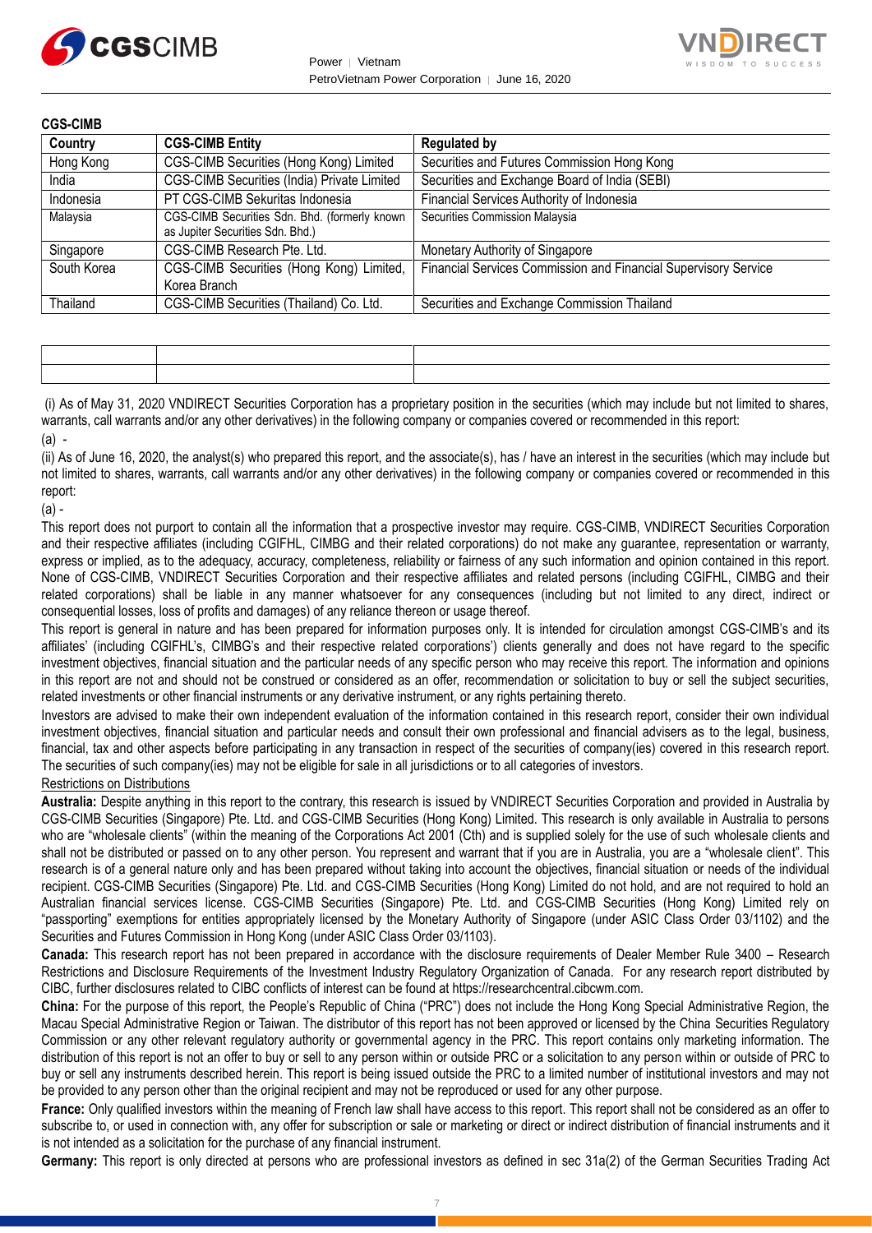



| <b>CGS-CIMB</b> |                                                                                   |                                                                 |
|-----------------|-----------------------------------------------------------------------------------|-----------------------------------------------------------------|
| Country         | <b>CGS-CIMB Entity</b>                                                            | <b>Regulated by</b>                                             |
| Hong Kong       | CGS-CIMB Securities (Hong Kong) Limited                                           | Securities and Futures Commission Hong Kong                     |
| India           | CGS-CIMB Securities (India) Private Limited                                       | Securities and Exchange Board of India (SEBI)                   |
| Indonesia       | PT CGS-CIMB Sekuritas Indonesia                                                   | Financial Services Authority of Indonesia                       |
| Malaysia        | CGS-CIMB Securities Sdn. Bhd. (formerly known<br>as Jupiter Securities Sdn. Bhd.) | Securities Commission Malaysia                                  |
| Singapore       | CGS-CIMB Research Pte. Ltd.                                                       | Monetary Authority of Singapore                                 |
| South Korea     | CGS-CIMB Securities (Hong Kong) Limited,<br>Korea Branch                          | Financial Services Commission and Financial Supervisory Service |
| Thailand        | CGS-CIMB Securities (Thailand) Co. Ltd.                                           | Securities and Exchange Commission Thailand                     |

(i) As of May 31, 2020 VNDIRECT Securities Corporation has a proprietary position in the securities (which may include but not limited to shares, warrants, call warrants and/or any other derivatives) in the following company or companies covered or recommended in this report:  $(a)$  -

(ii) As of June 16, 2020, the analyst(s) who prepared this report, and the associate(s), has / have an interest in the securities (which may include but not limited to shares, warrants, call warrants and/or any other derivatives) in the following company or companies covered or recommended in this report:

 $(a)$  -

This report does not purport to contain all the information that a prospective investor may require. CGS-CIMB, VNDIRECT Securities Corporation and their respective affiliates (including CGIFHL, CIMBG and their related corporations) do not make any guarantee, representation or warranty, express or implied, as to the adequacy, accuracy, completeness, reliability or fairness of any such information and opinion contained in this report. None of CGS-CIMB, VNDIRECT Securities Corporation and their respective affiliates and related persons (including CGIFHL, CIMBG and their related corporations) shall be liable in any manner whatsoever for any consequences (including but not limited to any direct, indirect or consequential losses, loss of profits and damages) of any reliance thereon or usage thereof.

This report is general in nature and has been prepared for information purposes only. It is intended for circulation amongst CGS-CIMB's and its affiliates' (including CGIFHL's, CIMBG's and their respective related corporations') clients generally and does not have regard to the specific investment objectives, financial situation and the particular needs of any specific person who may receive this report. The information and opinions in this report are not and should not be construed or considered as an offer, recommendation or solicitation to buy or sell the subject securities, related investments or other financial instruments or any derivative instrument, or any rights pertaining thereto.

Investors are advised to make their own independent evaluation of the information contained in this research report, consider their own individual investment objectives, financial situation and particular needs and consult their own professional and financial advisers as to the legal, business, financial, tax and other aspects before participating in any transaction in respect of the securities of company(ies) covered in this research report. The securities of such company(ies) may not be eligible for sale in all jurisdictions or to all categories of investors.

#### Restrictions on Distributions

**Australia:** Despite anything in this report to the contrary, this research is issued by VNDIRECT Securities Corporation and provided in Australia by CGS-CIMB Securities (Singapore) Pte. Ltd. and CGS-CIMB Securities (Hong Kong) Limited. This research is only available in Australia to persons who are "wholesale clients" (within the meaning of the Corporations Act 2001 (Cth) and is supplied solely for the use of such wholesale clients and shall not be distributed or passed on to any other person. You represent and warrant that if you are in Australia, you are a "wholesale client". This research is of a general nature only and has been prepared without taking into account the objectives, financial situation or needs of the individual recipient. CGS-CIMB Securities (Singapore) Pte. Ltd. and CGS-CIMB Securities (Hong Kong) Limited do not hold, and are not required to hold an Australian financial services license. CGS-CIMB Securities (Singapore) Pte. Ltd. and CGS-CIMB Securities (Hong Kong) Limited rely on "passporting" exemptions for entities appropriately licensed by the Monetary Authority of Singapore (under ASIC Class Order 03/1102) and the Securities and Futures Commission in Hong Kong (under ASIC Class Order 03/1103).

**Canada:** This research report has not been prepared in accordance with the disclosure requirements of Dealer Member Rule 3400 – Research Restrictions and Disclosure Requirements of the Investment Industry Regulatory Organization of Canada. For any research report distributed by CIBC, further disclosures related to CIBC conflicts of interest can be found at https://researchcentral.cibcwm.com.

**China:** For the purpose of this report, the People's Republic of China ("PRC") does not include the Hong Kong Special Administrative Region, the Macau Special Administrative Region or Taiwan. The distributor of this report has not been approved or licensed by the China Securities Regulatory Commission or any other relevant regulatory authority or governmental agency in the PRC. This report contains only marketing information. The distribution of this report is not an offer to buy or sell to any person within or outside PRC or a solicitation to any person within or outside of PRC to buy or sell any instruments described herein. This report is being issued outside the PRC to a limited number of institutional investors and may not be provided to any person other than the original recipient and may not be reproduced or used for any other purpose.

**France:** Only qualified investors within the meaning of French law shall have access to this report. This report shall not be considered as an offer to subscribe to, or used in connection with, any offer for subscription or sale or marketing or direct or indirect distribution of financial instruments and it is not intended as a solicitation for the purchase of any financial instrument.

**Germany:** This report is only directed at persons who are professional investors as defined in sec 31a(2) of the German Securities Trading Act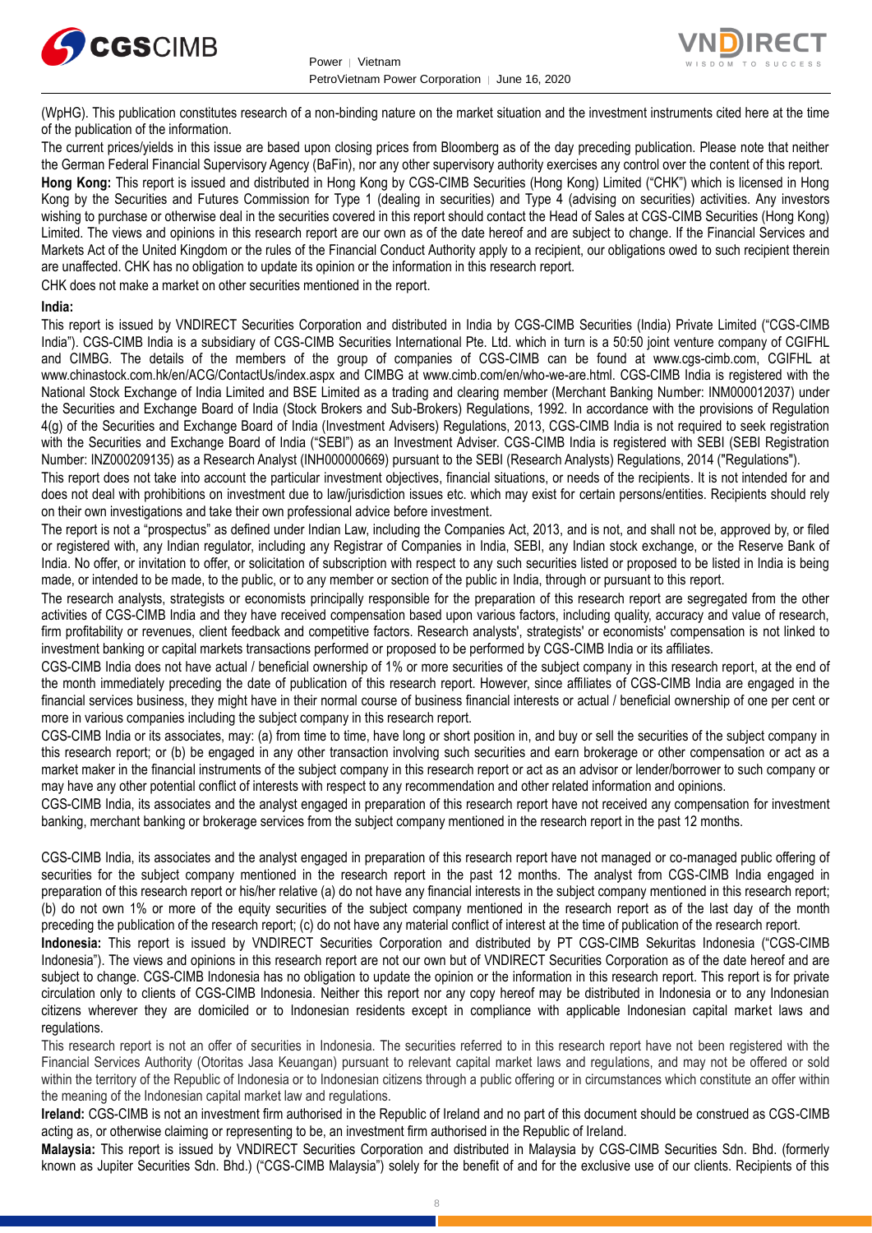



(WpHG). This publication constitutes research of a non-binding nature on the market situation and the investment instruments cited here at the time of the publication of the information.

The current prices/yields in this issue are based upon closing prices from Bloomberg as of the day preceding publication. Please note that neither the German Federal Financial Supervisory Agency (BaFin), nor any other supervisory authority exercises any control over the content of this report. **Hong Kong:** This report is issued and distributed in Hong Kong by CGS-CIMB Securities (Hong Kong) Limited ("CHK") which is licensed in Hong Kong by the Securities and Futures Commission for Type 1 (dealing in securities) and Type 4 (advising on securities) activities. Any investors wishing to purchase or otherwise deal in the securities covered in this report should contact the Head of Sales at CGS-CIMB Securities (Hong Kong) Limited. The views and opinions in this research report are our own as of the date hereof and are subject to change. If the Financial Services and Markets Act of the United Kingdom or the rules of the Financial Conduct Authority apply to a recipient, our obligations owed to such recipient therein are unaffected. CHK has no obligation to update its opinion or the information in this research report.

CHK does not make a market on other securities mentioned in the report.

#### **India:**

This report is issued by VNDIRECT Securities Corporation and distributed in India by CGS-CIMB Securities (India) Private Limited ("CGS-CIMB India"). CGS-CIMB India is a subsidiary of CGS-CIMB Securities International Pte. Ltd. which in turn is a 50:50 joint venture company of CGIFHL and CIMBG. The details of the members of the group of companies of CGS-CIMB can be found at www.cgs-cimb.com, CGIFHL at www.chinastock.com.hk/en/ACG/ContactUs/index.aspx and CIMBG at www.cimb.com/en/who-we-are.html. CGS-CIMB India is registered with the National Stock Exchange of India Limited and BSE Limited as a trading and clearing member (Merchant Banking Number: INM000012037) under the Securities and Exchange Board of India (Stock Brokers and Sub-Brokers) Regulations, 1992. In accordance with the provisions of Regulation 4(g) of the Securities and Exchange Board of India (Investment Advisers) Regulations, 2013, CGS-CIMB India is not required to seek registration with the Securities and Exchange Board of India ("SEBI") as an Investment Adviser. CGS-CIMB India is registered with SEBI (SEBI Registration Number: INZ000209135) as a Research Analyst (INH000000669) pursuant to the SEBI (Research Analysts) Regulations, 2014 ("Regulations").

This report does not take into account the particular investment objectives, financial situations, or needs of the recipients. It is not intended for and does not deal with prohibitions on investment due to law/jurisdiction issues etc. which may exist for certain persons/entities. Recipients should rely on their own investigations and take their own professional advice before investment.

The report is not a "prospectus" as defined under Indian Law, including the Companies Act, 2013, and is not, and shall not be, approved by, or filed or registered with, any Indian regulator, including any Registrar of Companies in India, SEBI, any Indian stock exchange, or the Reserve Bank of India. No offer, or invitation to offer, or solicitation of subscription with respect to any such securities listed or proposed to be listed in India is being made, or intended to be made, to the public, or to any member or section of the public in India, through or pursuant to this report.

The research analysts, strategists or economists principally responsible for the preparation of this research report are segregated from the other activities of CGS-CIMB India and they have received compensation based upon various factors, including quality, accuracy and value of research, firm profitability or revenues, client feedback and competitive factors. Research analysts', strategists' or economists' compensation is not linked to investment banking or capital markets transactions performed or proposed to be performed by CGS-CIMB India or its affiliates.

CGS-CIMB India does not have actual / beneficial ownership of 1% or more securities of the subject company in this research report, at the end of the month immediately preceding the date of publication of this research report. However, since affiliates of CGS-CIMB India are engaged in the financial services business, they might have in their normal course of business financial interests or actual / beneficial ownership of one per cent or more in various companies including the subject company in this research report.

CGS-CIMB India or its associates, may: (a) from time to time, have long or short position in, and buy or sell the securities of the subject company in this research report; or (b) be engaged in any other transaction involving such securities and earn brokerage or other compensation or act as a market maker in the financial instruments of the subject company in this research report or act as an advisor or lender/borrower to such company or may have any other potential conflict of interests with respect to any recommendation and other related information and opinions.

CGS-CIMB India, its associates and the analyst engaged in preparation of this research report have not received any compensation for investment banking, merchant banking or brokerage services from the subject company mentioned in the research report in the past 12 months.

CGS-CIMB India, its associates and the analyst engaged in preparation of this research report have not managed or co-managed public offering of securities for the subject company mentioned in the research report in the past 12 months. The analyst from CGS-CIMB India engaged in preparation of this research report or his/her relative (a) do not have any financial interests in the subject company mentioned in this research report; (b) do not own 1% or more of the equity securities of the subject company mentioned in the research report as of the last day of the month preceding the publication of the research report; (c) do not have any material conflict of interest at the time of publication of the research report.

**Indonesia:** This report is issued by VNDIRECT Securities Corporation and distributed by PT CGS-CIMB Sekuritas Indonesia ("CGS-CIMB Indonesia"). The views and opinions in this research report are not our own but of VNDIRECT Securities Corporation as of the date hereof and are subject to change. CGS-CIMB Indonesia has no obligation to update the opinion or the information in this research report. This report is for private circulation only to clients of CGS-CIMB Indonesia. Neither this report nor any copy hereof may be distributed in Indonesia or to any Indonesian citizens wherever they are domiciled or to Indonesian residents except in compliance with applicable Indonesian capital market laws and regulations.

This research report is not an offer of securities in Indonesia. The securities referred to in this research report have not been registered with the Financial Services Authority (Otoritas Jasa Keuangan) pursuant to relevant capital market laws and regulations, and may not be offered or sold within the territory of the Republic of Indonesia or to Indonesian citizens through a public offering or in circumstances which constitute an offer within the meaning of the Indonesian capital market law and regulations.

**Ireland:** CGS-CIMB is not an investment firm authorised in the Republic of Ireland and no part of this document should be construed as CGS-CIMB acting as, or otherwise claiming or representing to be, an investment firm authorised in the Republic of Ireland.

**Malaysia:** This report is issued by VNDIRECT Securities Corporation and distributed in Malaysia by CGS-CIMB Securities Sdn. Bhd. (formerly known as Jupiter Securities Sdn. Bhd.) ("CGS-CIMB Malaysia") solely for the benefit of and for the exclusive use of our clients. Recipients of this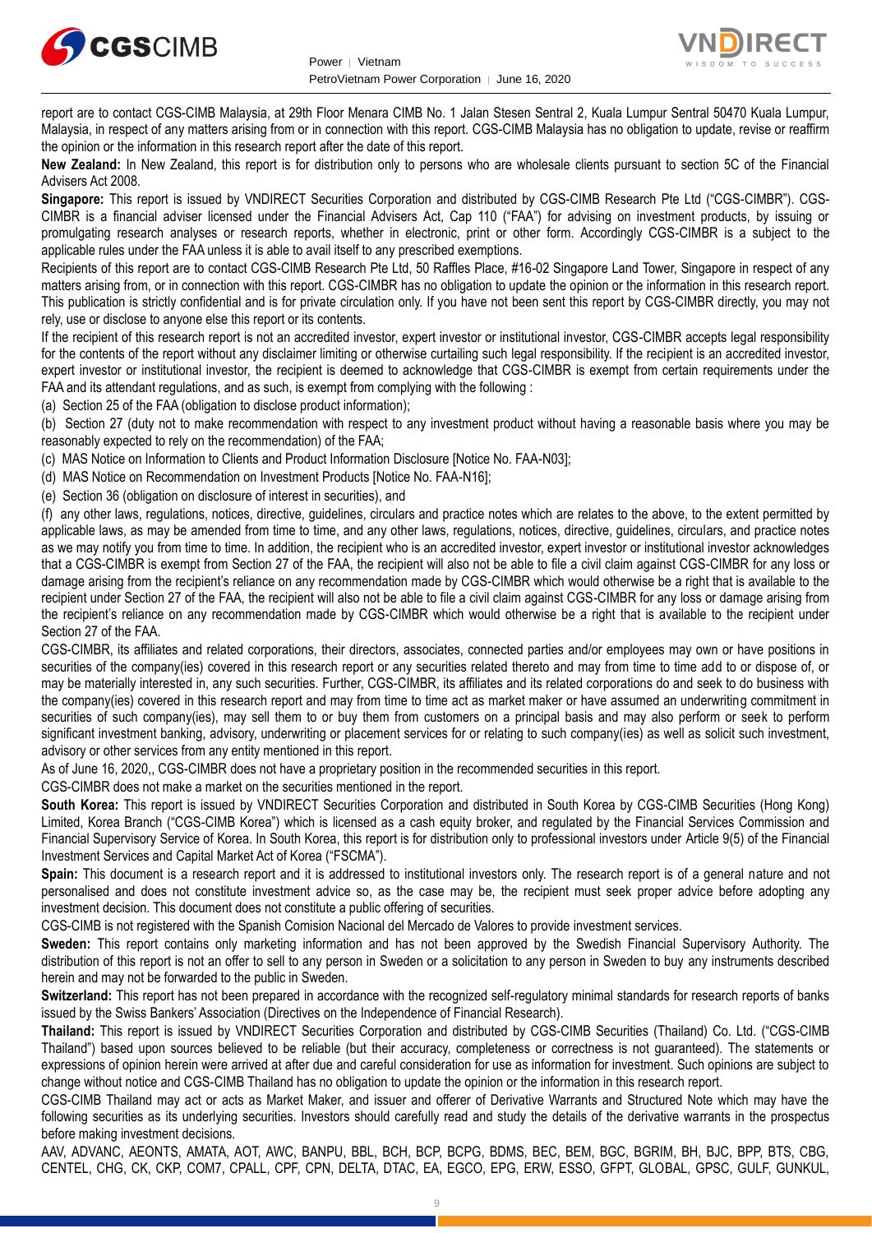



report are to contact CGS-CIMB Malaysia, at 29th Floor Menara CIMB No. 1 Jalan Stesen Sentral 2, Kuala Lumpur Sentral 50470 Kuala Lumpur, Malaysia, in respect of any matters arising from or in connection with this report. CGS-CIMB Malaysia has no obligation to update, revise or reaffirm the opinion or the information in this research report after the date of this report.

**New Zealand:** In New Zealand, this report is for distribution only to persons who are wholesale clients pursuant to section 5C of the Financial Advisers Act 2008.

**Singapore:** This report is issued by VNDIRECT Securities Corporation and distributed by CGS-CIMB Research Pte Ltd ("CGS-CIMBR"). CGS-CIMBR is a financial adviser licensed under the Financial Advisers Act, Cap 110 ("FAA") for advising on investment products, by issuing or promulgating research analyses or research reports, whether in electronic, print or other form. Accordingly CGS-CIMBR is a subject to the applicable rules under the FAA unless it is able to avail itself to any prescribed exemptions.

Recipients of this report are to contact CGS-CIMB Research Pte Ltd, 50 Raffles Place, #16-02 Singapore Land Tower, Singapore in respect of any matters arising from, or in connection with this report. CGS-CIMBR has no obligation to update the opinion or the information in this research report. This publication is strictly confidential and is for private circulation only. If you have not been sent this report by CGS-CIMBR directly, you may not rely, use or disclose to anyone else this report or its contents.

If the recipient of this research report is not an accredited investor, expert investor or institutional investor, CGS-CIMBR accepts legal responsibility for the contents of the report without any disclaimer limiting or otherwise curtailing such legal responsibility. If the recipient is an accredited investor, expert investor or institutional investor, the recipient is deemed to acknowledge that CGS-CIMBR is exempt from certain requirements under the FAA and its attendant regulations, and as such, is exempt from complying with the following :

(a) Section 25 of the FAA (obligation to disclose product information);

(b) Section 27 (duty not to make recommendation with respect to any investment product without having a reasonable basis where you may be reasonably expected to rely on the recommendation) of the FAA;

(c) MAS Notice on Information to Clients and Product Information Disclosure [Notice No. FAA-N03];

(d) MAS Notice on Recommendation on Investment Products [Notice No. FAA-N16];

(e) Section 36 (obligation on disclosure of interest in securities), and

(f) any other laws, regulations, notices, directive, guidelines, circulars and practice notes which are relates to the above, to the extent permitted by applicable laws, as may be amended from time to time, and any other laws, regulations, notices, directive, guidelines, circulars, and practice notes as we may notify you from time to time. In addition, the recipient who is an accredited investor, expert investor or institutional investor acknowledges that a CGS-CIMBR is exempt from Section 27 of the FAA, the recipient will also not be able to file a civil claim against CGS-CIMBR for any loss or damage arising from the recipient's reliance on any recommendation made by CGS-CIMBR which would otherwise be a right that is available to the recipient under Section 27 of the FAA, the recipient will also not be able to file a civil claim against CGS-CIMBR for any loss or damage arising from the recipient's reliance on any recommendation made by CGS-CIMBR which would otherwise be a right that is available to the recipient under Section 27 of the FAA.

CGS-CIMBR, its affiliates and related corporations, their directors, associates, connected parties and/or employees may own or have positions in securities of the company(ies) covered in this research report or any securities related thereto and may from time to time add to or dispose of, or may be materially interested in, any such securities. Further, CGS-CIMBR, its affiliates and its related corporations do and seek to do business with the company(ies) covered in this research report and may from time to time act as market maker or have assumed an underwriting commitment in securities of such company(ies), may sell them to or buy them from customers on a principal basis and may also perform or seek to perform significant investment banking, advisory, underwriting or placement services for or relating to such company(ies) as well as solicit such investment, advisory or other services from any entity mentioned in this report.

As of June 16, 2020,, CGS-CIMBR does not have a proprietary position in the recommended securities in this report.

CGS-CIMBR does not make a market on the securities mentioned in the report.

**South Korea:** This report is issued by VNDIRECT Securities Corporation and distributed in South Korea by CGS-CIMB Securities (Hong Kong) Limited, Korea Branch ("CGS-CIMB Korea") which is licensed as a cash equity broker, and regulated by the Financial Services Commission and Financial Supervisory Service of Korea. In South Korea, this report is for distribution only to professional investors under Article 9(5) of the Financial Investment Services and Capital Market Act of Korea ("FSCMA").

**Spain:** This document is a research report and it is addressed to institutional investors only. The research report is of a general nature and not personalised and does not constitute investment advice so, as the case may be, the recipient must seek proper advice before adopting any investment decision. This document does not constitute a public offering of securities.

CGS-CIMB is not registered with the Spanish Comision Nacional del Mercado de Valores to provide investment services.

**Sweden:** This report contains only marketing information and has not been approved by the Swedish Financial Supervisory Authority. The distribution of this report is not an offer to sell to any person in Sweden or a solicitation to any person in Sweden to buy any instruments described herein and may not be forwarded to the public in Sweden.

**Switzerland:** This report has not been prepared in accordance with the recognized self-regulatory minimal standards for research reports of banks issued by the Swiss Bankers' Association (Directives on the Independence of Financial Research).

**Thailand:** This report is issued by VNDIRECT Securities Corporation and distributed by CGS-CIMB Securities (Thailand) Co. Ltd. ("CGS-CIMB Thailand") based upon sources believed to be reliable (but their accuracy, completeness or correctness is not guaranteed). The statements or expressions of opinion herein were arrived at after due and careful consideration for use as information for investment. Such opinions are subject to change without notice and CGS-CIMB Thailand has no obligation to update the opinion or the information in this research report.

CGS-CIMB Thailand may act or acts as Market Maker, and issuer and offerer of Derivative Warrants and Structured Note which may have the following securities as its underlying securities. Investors should carefully read and study the details of the derivative warrants in the prospectus before making investment decisions.

AAV, ADVANC, AEONTS, AMATA, AOT, AWC, BANPU, BBL, BCH, BCP, BCPG, BDMS, BEC, BEM, BGC, BGRIM, BH, BJC, BPP, BTS, CBG, CENTEL, CHG, CK, CKP, COM7, CPALL, CPF, CPN, DELTA, DTAC, EA, EGCO, EPG, ERW, ESSO, GFPT, GLOBAL, GPSC, GULF, GUNKUL,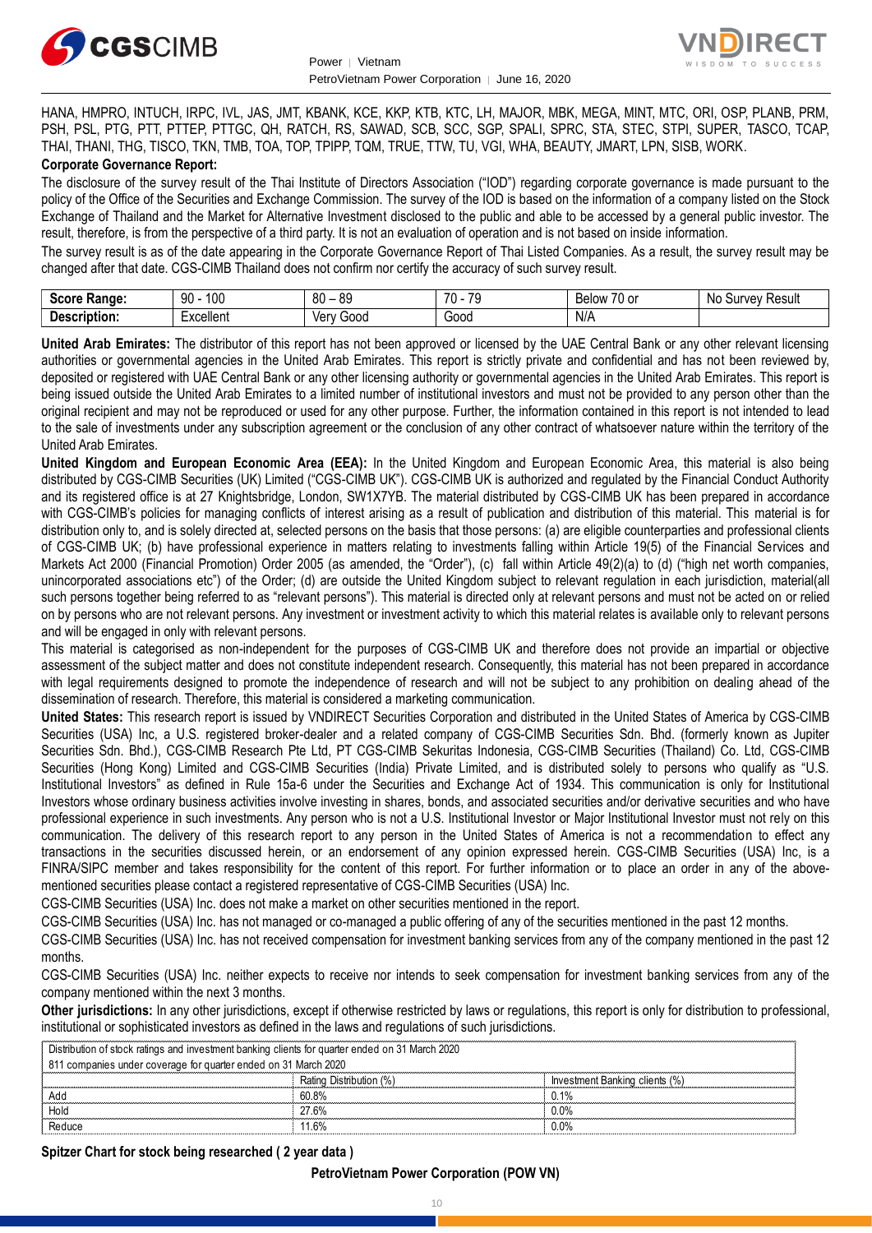



HANA, HMPRO, INTUCH, IRPC, IVL, JAS, JMT, KBANK, KCE, KKP, KTB, KTC, LH, MAJOR, MBK, MEGA, MINT, MTC, ORI, OSP, PLANB, PRM, PSH, PSL, PTG, PTT, PTTEP, PTTGC, QH, RATCH, RS, SAWAD, SCB, SCC, SGP, SPALI, SPRC, STA, STEC, STPI, SUPER, TASCO, TCAP, THAI, THANI, THG, TISCO, TKN, TMB, TOA, TOP, TPIPP, TQM, TRUE, TTW, TU, VGI, WHA, BEAUTY, JMART, LPN, SISB, WORK. **Corporate Governance Report:**

The disclosure of the survey result of the Thai Institute of Directors Association ("IOD") regarding corporate governance is made pursuant to the policy of the Office of the Securities and Exchange Commission. The survey of the IOD is based on the information of a company listed on the Stock Exchange of Thailand and the Market for Alternative Investment disclosed to the public and able to be accessed by a general public investor. The result, therefore, is from the perspective of a third party. It is not an evaluation of operation and is not based on inside information.

The survey result is as of the date appearing in the Corporate Governance Report of Thai Listed Companies. As a result, the survey result may be changed after that date. CGS-CIMB Thailand does not confirm nor certify the accuracy of such survey result.

| <b>Casus</b><br>Range:<br>əcor | 100<br>۵O<br>IJΜ                | .or<br>80<br>へい<br>$\overline{\phantom{a}}$ | 70<br>$\overline{\phantom{a}}$<br>. | $\overline{\phantom{a}}$<br>Relow<br>'U oi | Result<br>$\sim$<br>Nı<br>,,,<br>יוור.<br>u<br> |
|--------------------------------|---------------------------------|---------------------------------------------|-------------------------------------|--------------------------------------------|-------------------------------------------------|
| -<br>Description:              | -voollant<br><b>_</b> ∧Cellerit | 000خ<br>/\nu<br>791                         | Good                                | N/A                                        |                                                 |

**United Arab Emirates:** The distributor of this report has not been approved or licensed by the UAE Central Bank or any other relevant licensing authorities or governmental agencies in the United Arab Emirates. This report is strictly private and confidential and has not been reviewed by, deposited or registered with UAE Central Bank or any other licensing authority or governmental agencies in the United Arab Emirates. This report is being issued outside the United Arab Emirates to a limited number of institutional investors and must not be provided to any person other than the original recipient and may not be reproduced or used for any other purpose. Further, the information contained in this report is not intended to lead to the sale of investments under any subscription agreement or the conclusion of any other contract of whatsoever nature within the territory of the United Arab Emirates.

**United Kingdom and European Economic Area (EEA):** In the United Kingdom and European Economic Area, this material is also being distributed by CGS-CIMB Securities (UK) Limited ("CGS-CIMB UK"). CGS-CIMB UK is authorized and regulated by the Financial Conduct Authority and its registered office is at 27 Knightsbridge, London, SW1X7YB. The material distributed by CGS-CIMB UK has been prepared in accordance with CGS-CIMB's policies for managing conflicts of interest arising as a result of publication and distribution of this material. This material is for distribution only to, and is solely directed at, selected persons on the basis that those persons: (a) are eligible counterparties and professional clients of CGS-CIMB UK; (b) have professional experience in matters relating to investments falling within Article 19(5) of the Financial Services and Markets Act 2000 (Financial Promotion) Order 2005 (as amended, the "Order"), (c) fall within Article 49(2)(a) to (d) ("high net worth companies, unincorporated associations etc") of the Order; (d) are outside the United Kingdom subject to relevant regulation in each jurisdiction, material(all such persons together being referred to as "relevant persons"). This material is directed only at relevant persons and must not be acted on or relied on by persons who are not relevant persons. Any investment or investment activity to which this material relates is available only to relevant persons and will be engaged in only with relevant persons.

This material is categorised as non-independent for the purposes of CGS-CIMB UK and therefore does not provide an impartial or objective assessment of the subject matter and does not constitute independent research. Consequently, this material has not been prepared in accordance with legal requirements designed to promote the independence of research and will not be subject to any prohibition on dealing ahead of the dissemination of research. Therefore, this material is considered a marketing communication.

**United States:** This research report is issued by VNDIRECT Securities Corporation and distributed in the United States of America by CGS-CIMB Securities (USA) Inc, a U.S. registered broker-dealer and a related company of CGS-CIMB Securities Sdn. Bhd. (formerly known as Jupiter Securities Sdn. Bhd.), CGS-CIMB Research Pte Ltd, PT CGS-CIMB Sekuritas Indonesia, CGS-CIMB Securities (Thailand) Co. Ltd, CGS-CIMB Securities (Hong Kong) Limited and CGS-CIMB Securities (India) Private Limited, and is distributed solely to persons who qualify as "U.S. Institutional Investors" as defined in Rule 15a-6 under the Securities and Exchange Act of 1934. This communication is only for Institutional Investors whose ordinary business activities involve investing in shares, bonds, and associated securities and/or derivative securities and who have professional experience in such investments. Any person who is not a U.S. Institutional Investor or Major Institutional Investor must not rely on this communication. The delivery of this research report to any person in the United States of America is not a recommendation to effect any transactions in the securities discussed herein, or an endorsement of any opinion expressed herein. CGS-CIMB Securities (USA) Inc, is a FINRA/SIPC member and takes responsibility for the content of this report. For further information or to place an order in any of the abovementioned securities please contact a registered representative of CGS-CIMB Securities (USA) Inc.

CGS-CIMB Securities (USA) Inc. does not make a market on other securities mentioned in the report.

CGS-CIMB Securities (USA) Inc. has not managed or co-managed a public offering of any of the securities mentioned in the past 12 months.

CGS-CIMB Securities (USA) Inc. has not received compensation for investment banking services from any of the company mentioned in the past 12 months.

CGS-CIMB Securities (USA) Inc. neither expects to receive nor intends to seek compensation for investment banking services from any of the company mentioned within the next 3 months.

**Other jurisdictions:** In any other jurisdictions, except if otherwise restricted by laws or regulations, this report is only for distribution to professional, institutional or sophisticated investors as defined in the laws and regulations of such jurisdictions.

| Distribution of stock ratings and investment banking clients for quarter ended on 31 March 2020 |                            |                                |  |  |  |
|-------------------------------------------------------------------------------------------------|----------------------------|--------------------------------|--|--|--|
| 811 companies under coverage for quarter ended on 31 March 2020                                 |                            |                                |  |  |  |
|                                                                                                 | Distribution (%)<br>Rating | Investment Banking clients (%) |  |  |  |
|                                                                                                 | 60.8%                      | በ 1%                           |  |  |  |
| Holc                                                                                            | 27.6%                      | $0.0\%$                        |  |  |  |
|                                                                                                 | 11.6%                      | 0% (                           |  |  |  |

#### **Spitzer Chart for stock being researched ( 2 year data )**

#### **PetroVietnam Power Corporation (POW VN)**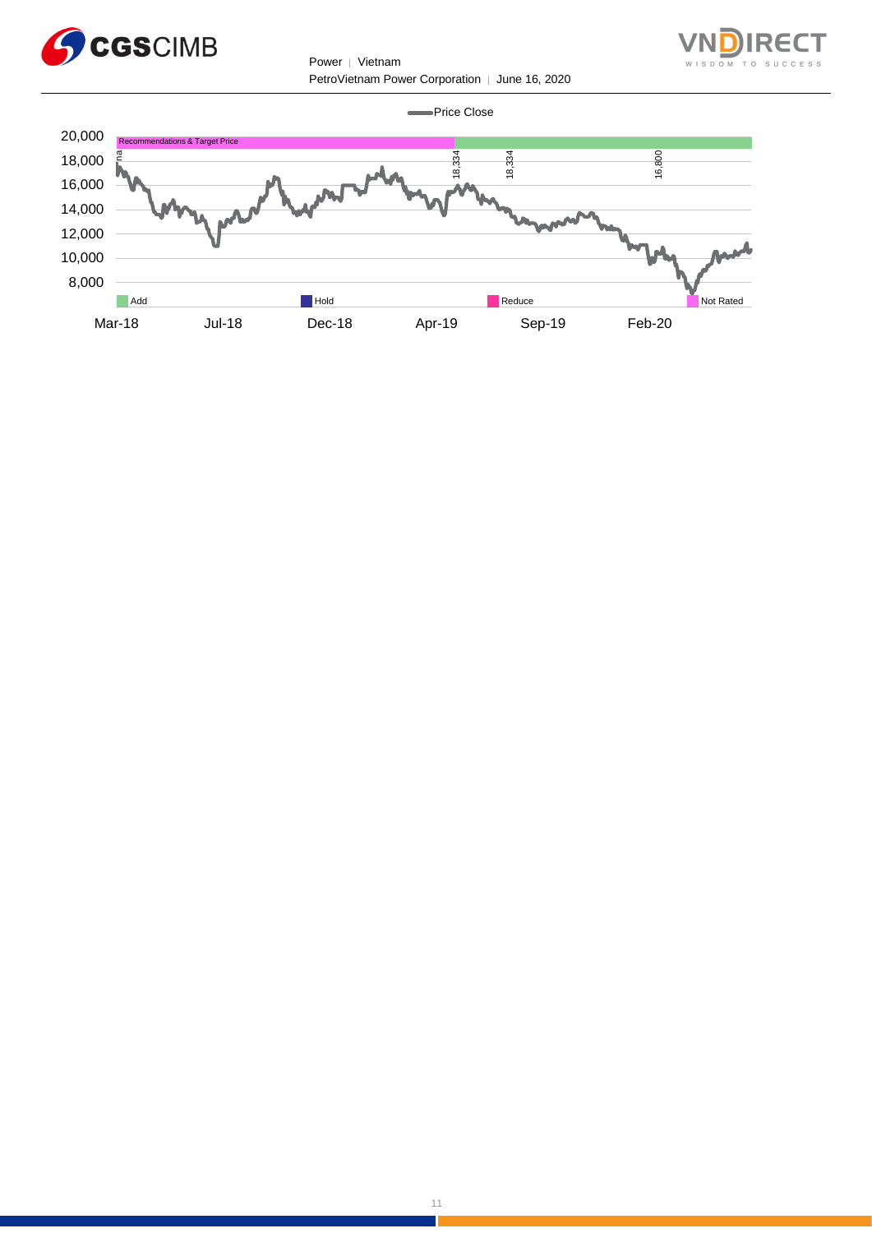

Power │ Vietnam PetroVietnam Power Corporation | June 16, 2020



**-**Price Close

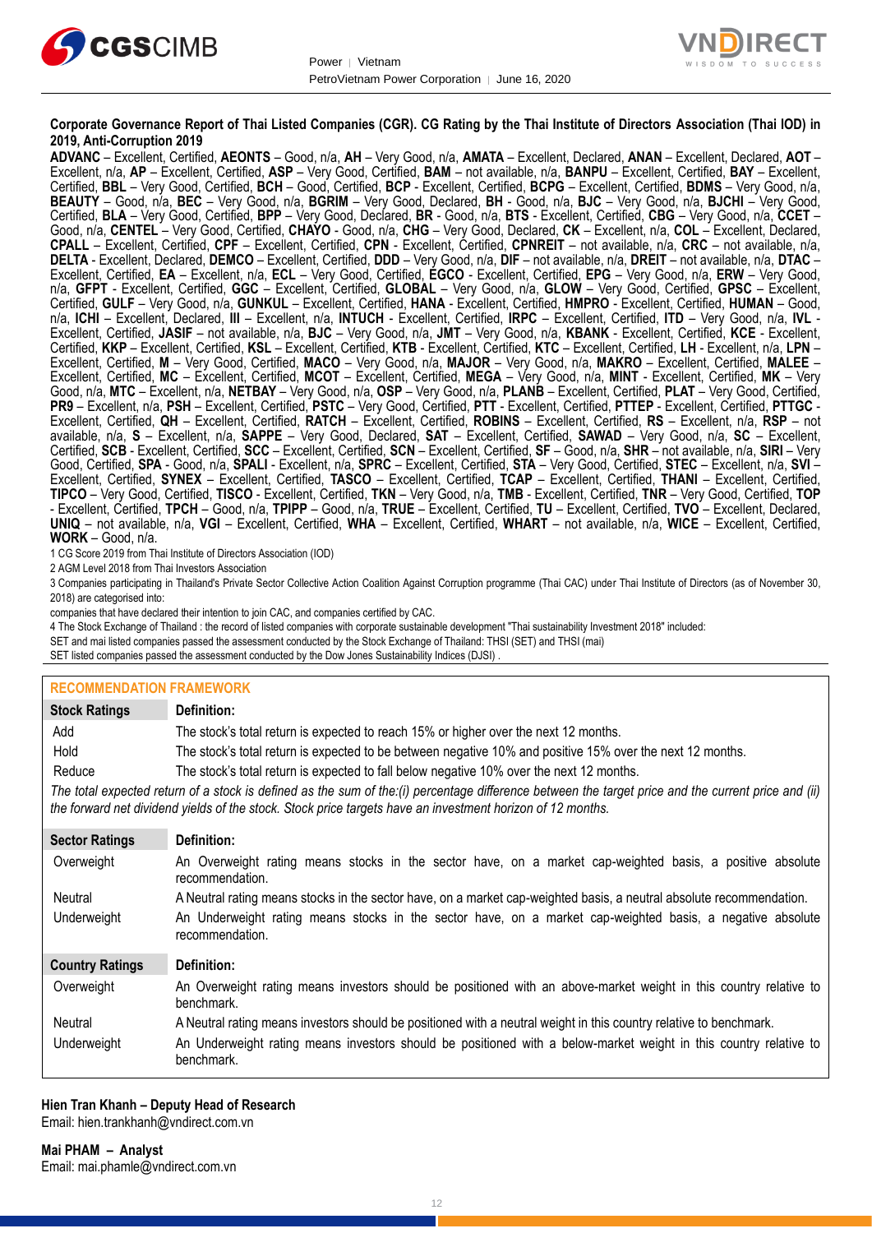



#### **Corporate Governance Report of Thai Listed Companies (CGR). CG Rating by the Thai Institute of Directors Association (Thai IOD) in 2019, Anti-Corruption 2019**

**ADVANC** – Excellent, Certified, **AEONTS** – Good, n/a, **AH** – Very Good, n/a, **AMATA** – Excellent, Declared, **ANAN** – Excellent, Declared, **AOT** – Excellent, n/a, **AP** – Excellent, Certified, **ASP** – Very Good, Certified, **BAM** – not available, n/a, **BANPU** – Excellent, Certified, **BAY** – Excellent, Certified, **BBL** – Very Good, Certified, **BCH** – Good, Certified, **BCP** - Excellent, Certified, **BCPG** – Excellent, Certified, **BDMS** – Very Good, n/a, **BEAUTY** – Good, n/a, **BEC** – Very Good, n/a, **BGRIM** – Very Good, Declared, **BH** - Good, n/a, **BJC** – Very Good, n/a, **BJCHI** – Very Good, Certified, **BLA** – Very Good, Certified, **BPP** – Very Good, Declared, **BR** - Good, n/a, **BTS** - Excellent, Certified, **CBG** – Very Good, n/a, **CCET** – Good, n/a, **CENTEL** – Very Good, Certified, **CHAYO** - Good, n/a, **CHG** – Very Good, Declared, **CK** – Excellent, n/a, **COL** – Excellent, Declared, **CPALL** – Excellent, Certified, **CPF** – Excellent, Certified, **CPN** - Excellent, Certified, **CPNREIT** – not available, n/a, **CRC** – not available, n/a, **DELTA** - Excellent, Declared, **DEMCO** – Excellent, Certified, **DDD** – Very Good, n/a, **DIF** – not available, n/a, **DREIT** – not available, n/a, **DTAC** – Excellent, Certified, **EA** – Excellent, n/a, **ECL** – Very Good, Certified, **EGCO** - Excellent, Certified, **EPG** – Very Good, n/a, **ERW** – Very Good, n/a, **GFPT** - Excellent, Certified, **GGC** – Excellent, Certified, **GLOBAL** – Very Good, n/a, **GLOW** – Very Good, Certified, **GPSC** – Excellent, Certified, **GULF** – Very Good, n/a, **GUNKUL** – Excellent, Certified, **HANA** - Excellent, Certified, **HMPRO** - Excellent, Certified, **HUMAN** – Good, n/a, **ICHI** – Excellent, Declared, **III** – Excellent, n/a, **INTUCH** - Excellent, Certified, **IRPC** – Excellent, Certified, **ITD** – Very Good, n/a, **IVL** - Excellent, Certified, **JASIF** – not available, n/a, **BJC** – Very Good, n/a, **JMT** – Very Good, n/a, **KBANK** - Excellent, Certified, **KCE** - Excellent, Certified, **KKP** – Excellent, Certified, **KSL** – Excellent, Certified, **KTB** - Excellent, Certified, **KTC** – Excellent, Certified, **LH** - Excellent, n/a, **LPN** – Excellent, Certified, **M** – Very Good, Certified, **MACO** – Very Good, n/a, **MAJOR** – Very Good, n/a, **MAKRO** – Excellent, Certified, **MALEE** – Excellent, Certified, **MC** – Excellent, Certified, **MCOT** – Excellent, Certified, **MEGA** – Very Good, n/a, **MINT** - Excellent, Certified, **MK** – Very Good, n/a, **MTC** – Excellent, n/a, **NETBAY** – Very Good, n/a, **OSP** – Very Good, n/a, **PLANB** – Excellent, Certified, **PLAT** – Very Good, Certified, **PR9** – Excellent, n/a, **PSH** – Excellent, Certified, **PSTC** – Very Good, Certified, **PTT** - Excellent, Certified, **PTTEP** - Excellent, Certified, **PTTGC** - Excellent, Certified, **QH** – Excellent, Certified, **RATCH** – Excellent, Certified, **ROBINS** – Excellent, Certified, **RS** – Excellent, n/a, **RSP** – not available, n/a, **S** – Excellent, n/a, **SAPPE** – Very Good, Declared, **SAT** – Excellent, Certified, **SAWAD** – Very Good, n/a, **SC** – Excellent, Certified, **SCB** - Excellent, Certified, **SCC** – Excellent, Certified, **SCN** – Excellent, Certified, **SF** – Good, n/a, **SHR** – not available, n/a, **SIRI** – Very Good, Certified, **SPA** - Good, n/a, **SPALI** - Excellent, n/a, **SPRC** – Excellent, Certified, **STA** – Very Good, Certified, **STEC** – Excellent, n/a, **SVI** – Excellent, Certified, **SYNEX** – Excellent, Certified, **TASCO** – Excellent, Certified, **TCAP** – Excellent, Certified, **THANI** – Excellent, Certified, **TIPCO** – Very Good, Certified, **TISCO** - Excellent, Certified, **TKN** – Very Good, n/a, **TMB** - Excellent, Certified, **TNR** – Very Good, Certified, **TOP** - Excellent, Certified, **TPCH** – Good, n/a, **TPIPP** – Good, n/a, **TRUE** – Excellent, Certified, **TU** – Excellent, Certified, **TVO** – Excellent, Declared, **UNIQ** – not available, n/a, **VGI** – Excellent, Certified, **WHA** – Excellent, Certified, **WHART** – not available, n/a, **WICE** – Excellent, Certified, **WORK** – Good, n/a.

1 CG Score 2019 from Thai Institute of Directors Association (IOD)

2 AGM Level 2018 from Thai Investors Association

3 Companies participating in Thailand's Private Sector Collective Action Coalition Against Corruption programme (Thai CAC) under Thai Institute of Directors (as of November 30, 2018) are categorised into:

companies that have declared their intention to join CAC, and companies certified by CAC.

4 [The Stock Exchange of Thailand : the record of listed companies with corporate sustainable development "Thai sustainability Investment 2018" included:](http://www.set.or.th/sustainable_dev/en/sr/sri/tsi_p1.html)

SET and mai listed companies passed the assessment conducted by the Stock Exchange of Thailand: THSI (SET) and THSI (mai)

SET listed companies passed the assessment conducted by the Dow Jones Sustainability Indices (DJSI)

### **RECOMMENDATION FRAMEWORK**

| <b>Stock Ratings</b>   | <b>Definition:</b>                                                                                                                                                                                                                                                |  |  |
|------------------------|-------------------------------------------------------------------------------------------------------------------------------------------------------------------------------------------------------------------------------------------------------------------|--|--|
| Add                    | The stock's total return is expected to reach 15% or higher over the next 12 months.                                                                                                                                                                              |  |  |
| Hold                   | The stock's total return is expected to be between negative 10% and positive 15% over the next 12 months.                                                                                                                                                         |  |  |
| Reduce                 | The stock's total return is expected to fall below negative 10% over the next 12 months.                                                                                                                                                                          |  |  |
|                        | The total expected return of a stock is defined as the sum of the:(i) percentage difference between the target price and the current price and (ii)<br>the forward net dividend yields of the stock. Stock price targets have an investment horizon of 12 months. |  |  |
| <b>Sector Ratings</b>  | Definition:                                                                                                                                                                                                                                                       |  |  |
| Overweight             | An Overweight rating means stocks in the sector have, on a market cap-weighted basis, a positive absolute<br>recommendation.                                                                                                                                      |  |  |
| Neutral                | A Neutral rating means stocks in the sector have, on a market cap-weighted basis, a neutral absolute recommendation.                                                                                                                                              |  |  |
| Underweight            | An Underweight rating means stocks in the sector have, on a market cap-weighted basis, a negative absolute<br>recommendation.                                                                                                                                     |  |  |
| <b>Country Ratings</b> | Definition:                                                                                                                                                                                                                                                       |  |  |
| Overweight             | An Overweight rating means investors should be positioned with an above-market weight in this country relative to<br>benchmark.                                                                                                                                   |  |  |
| Neutral                | A Neutral rating means investors should be positioned with a neutral weight in this country relative to benchmark.                                                                                                                                                |  |  |
| Underweight            | An Underweight rating means investors should be positioned with a below-market weight in this country relative to<br>benchmark.                                                                                                                                   |  |  |

12

#### **Hien Tran Khanh – Deputy Head of Research** Email: [hien.trankhanh@vndirect.com.vn](mailto:hien.trankhanh@vndirect.com.vn)

**Mai PHAM – Analyst** Email: [mai.phamle@vndirect.com.vn](mailto:mai.phamle@vndirect.com.vn)